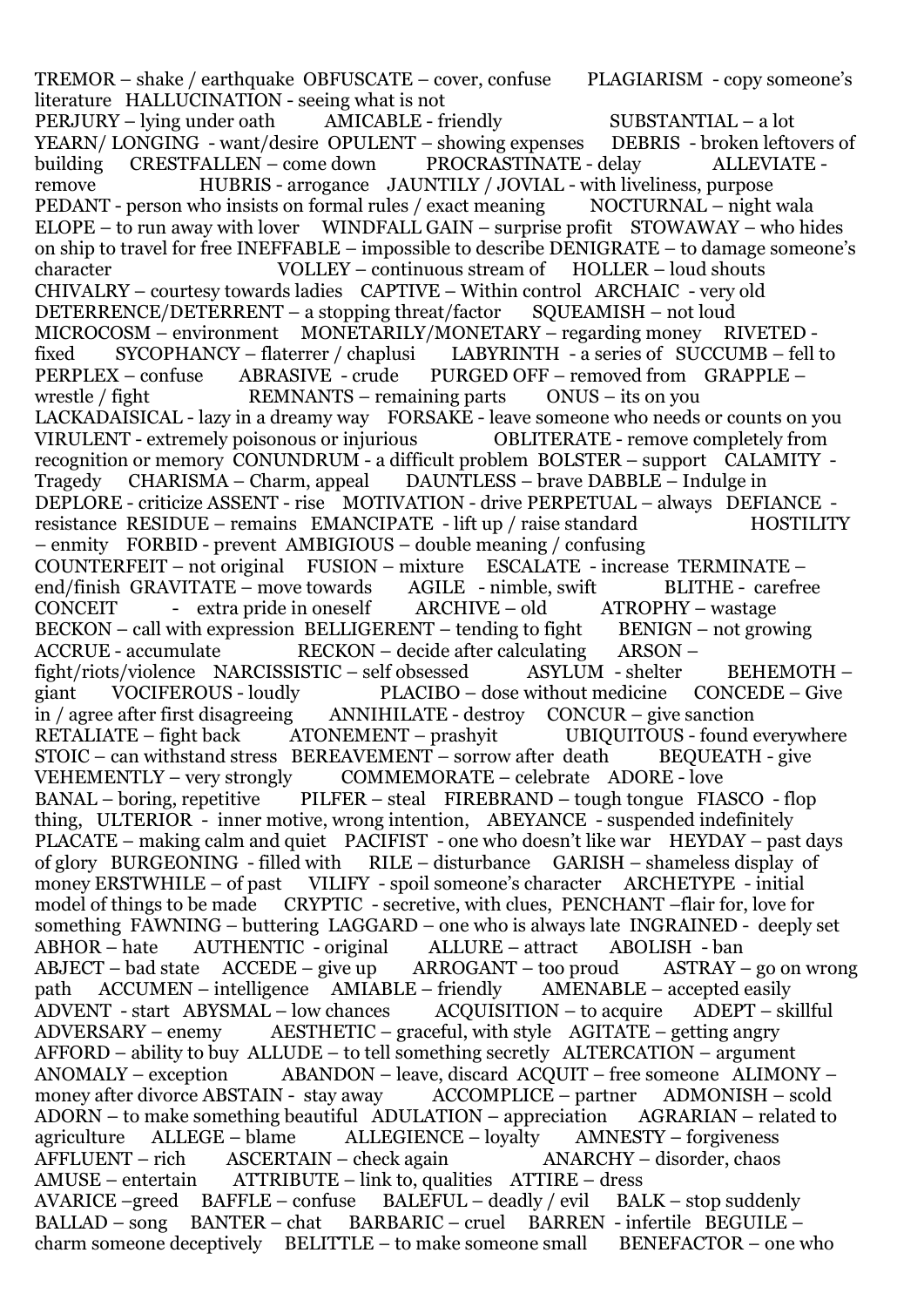TREMOR – shake / earthquake OBFUSCATE – cover, confuse PLAGIARISM - copy someone's literature HALLUCINATION - seeing what is not PERJURY – lying under oath AMICABLE - friendly SUBSTANTIAL – a lot YEARN/ LONGING - want/desire OPULENT – showing expenses DEBRIS - broken leftovers of<br>building CRESTFALLEN – come down PROCRASTINATE - delay ALLEVIATE building CRESTFALLEN – come down PROCRASTINATE - delay ALLEVIATE remove HUBRIS - arrogance JAUNTILY / JOVIAL - with liveliness, purpose PEDANT - person who insists on formal rules / exact meaning NOCTURNAL – night wala ELOPE – to run away with lover WINDFALL GAIN – surprise profit STOWAWAY – who hides on ship to travel for free INEFFABLE – impossible to describe DENIGRATE – to damage someone's character VOLLEY – continuous stream of HOLLER – loud shouts CHIVALRY – courtesy towards ladies CAPTIVE – Within control ARCHAIC - very old DETERRENCE/DETERRENT – a stopping threat/factor SQUEAMISH – not loud MICROCOSM – environment MONETARILY/MONETARY – regarding money RIVETED fixed SYCOPHANCY – flaterrer / chaplusi LABYRINTH - a series of SUCCUMB – fell to PERPLEX – confuse ABRASIVE - crude PURGED OFF – removed from GRAPPLE – wrestle / fight REMNANTS – remaining parts ONUS – its on you [LACKADAISICAL](https://www.vocabulary.com/dictionary/lackadaisical) - lazy in a dreamy way FORSAKE - leave someone who needs or counts on you [VIRULENT](https://www.vocabulary.com/dictionary/virulent) - extremely poisonous or injurious [OBLITERATE](https://www.vocabulary.com/dictionary/obliterate) - remove completely from recognition or memory [CONUNDRUM](https://www.vocabulary.com/dictionary/conundrum) - a difficult problem BOLSTER – support CALAMITY - Tragedy CHARISMA – Charm, appeal DAUNTLESS – brave DABBLE – Indulge in DEPLORE - criticize ASSENT - rise MOTIVATION - drive PERPETUAL – always DEFIANCE resistance RESIDUE – remains EMANCIPATE - lift up / raise standard HOSTILITY – enmity FORBID - prevent AMBIGIOUS – double meaning / confusing COUNTERFEIT – not original FUSION – mixture ESCALATE - increase TERMINATE – end/finish GRAVITATE – move towards AGILE - nimble, swift BLITHE - carefree CONCEIT - extra pride in oneself ARCHIVE – old ATROPHY – wastage  $BECKON - call with expression **BELLIGERENT - tending to fight BENIGN - not growing**$ ACCRUE - accumulate RECKON – decide after calculating ARSON – fight/riots/violence NARCISSISTIC – self obsessed ASYLUM - shelter BEHEMOTH – giant VOCIFEROUS - loudly PLACIBO – dose without medicine CONCEDE – Give in / agree after first disagreeing ANNIHILATE - destroy CONCUR – give sanction RETALIATE – fight back ATONEMENT – prashyit UBIQUITOUS - found everywhere  $STOIC - can with stand stress \t\t\t BEREAVEMENT - sorrow after death \t\t\t BEOUEATH - give$ VEHEMENTLY – very strongly COMMEMORATE – celebrate ADORE - love BANAL – boring, repetitive PILFER – steal FIREBRAND – tough tongue FIASCO - flop thing, ULTERIOR - inner motive, wrong intention, ABEYANCE - suspended indefinitely PLACATE – making calm and quiet PACIFIST - one who doesn't like war HEYDAY – past days of glory BURGEONING - filled with RILE – disturbance GARISH – shameless display of money ERSTWHILE – of past VILIFY - spoil someone's character ARCHETYPE - initial model of things to be made CRYPTIC - secretive, with clues, PENCHANT –flair for, love for something FAWNING – buttering LAGGARD – one who is always late INGRAINED - deeply set ABHOR – hate AUTHENTIC - original ALLURE – attract ABOLISH - ban ABJECT – bad state ACCEDE – give up ARROGANT – too proud ASTRAY – go on wrong path  $\Delta$ CCUMEN – intelligence  $\Delta$ MIABLE – friendly  $\Delta$ MENABLE – accepted easily ADVENT - start ABYSMAL – low chances ACQUISITION – to acquire ADEPT – skillful ADVERSARY – enemy AESTHETIC – graceful, with style AGITATE – getting angry AFFORD – ability to buy ALLUDE – to tell something secretly ALTERCATION – argument ANOMALY – exception ABANDON – leave, discard ACQUIT – free someone ALIMONY – money after divorce ABSTAIN - stay away ACCOMPLICE – partner ADMONISH – scold ADORN – to make something beautiful ADULATION – appreciation AGRARIAN – related to agriculture ALLEGE – blame ALLEGIENCE – loyalty AMNESTY – forgiveness AFFLUENT – rich ASCERTAIN – check again ANARCHY – disorder, chaos AMUSE – entertain ATTRIBUTE – link to, qualities ATTIRE – dress AVARICE –greed BAFFLE – confuse BALEFUL – deadly / evil BALK – stop suddenly BALLAD – song BANTER – chat BARBARIC – cruel BARREN - infertile BEGUILE – charm someone deceptively  $BELITILE - to$  make someone small  $BENEFACTOR - one$  who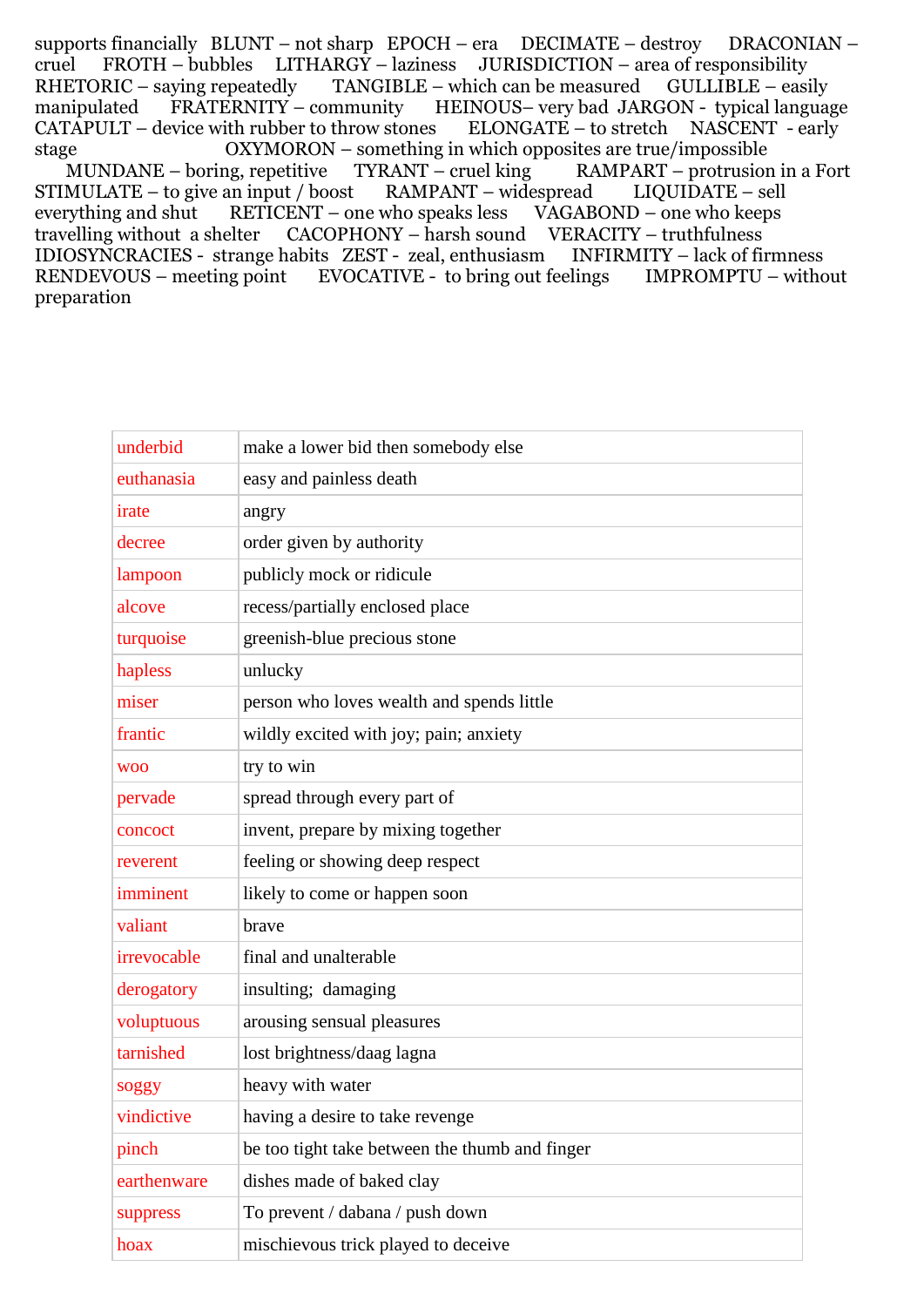supports financially BLUNT – not sharp EPOCH – era DECIMATE – destroy DRACONIAN – cruel FROTH – bubbles LITHARGY – laziness JURISDICTION – area of responsibility RHETORIC – saying repeatedly TANGIBLE – which can be measured GULLIBLE – easily manipulated FRATERNITY – community HEINOUS– very bad JARGON - typical language CATAPULT – device with rubber to throw stones ELONGATE – to stretch NASCENT - early stage OXYMORON – something in which opposites are true/impossible MUNDANE – boring, repetitive TYRANT – cruel king RAMPART – protrusion in a Fort STIMULATE – to give an input / boost RAMPANT – widespread LIQUIDATE – sell everything and shut RETICENT – one who speaks less VAGABOND – one who keeps travelling without a shelter CACOPHONY – harsh sound VERACITY – truthfulness IDIOSYNCRACIES - strange habits ZEST - zeal, enthusiasm INFIRMITY – lack of firmness RENDEVOUS – meeting point EVOCATIVE - to bring out feelings IMPROMPTU – without preparation

| underbid    | make a lower bid then somebody else            |
|-------------|------------------------------------------------|
| euthanasia  | easy and painless death                        |
| irate       | angry                                          |
| decree      | order given by authority                       |
| lampoon     | publicly mock or ridicule                      |
| alcove      | recess/partially enclosed place                |
| turquoise   | greenish-blue precious stone                   |
| hapless     | unlucky                                        |
| miser       | person who loves wealth and spends little      |
| frantic     | wildly excited with joy; pain; anxiety         |
| <b>WOO</b>  | try to win                                     |
| pervade     | spread through every part of                   |
| concoct     | invent, prepare by mixing together             |
| reverent    | feeling or showing deep respect                |
| imminent    | likely to come or happen soon                  |
| valiant     | brave                                          |
| irrevocable | final and unalterable                          |
| derogatory  | insulting; damaging                            |
| voluptuous  | arousing sensual pleasures                     |
| tarnished   | lost brightness/daag lagna                     |
| soggy       | heavy with water                               |
| vindictive  | having a desire to take revenge                |
| pinch       | be too tight take between the thumb and finger |
| earthenware | dishes made of baked clay                      |
| suppress    | To prevent / dabana / push down                |
| hoax        | mischievous trick played to deceive            |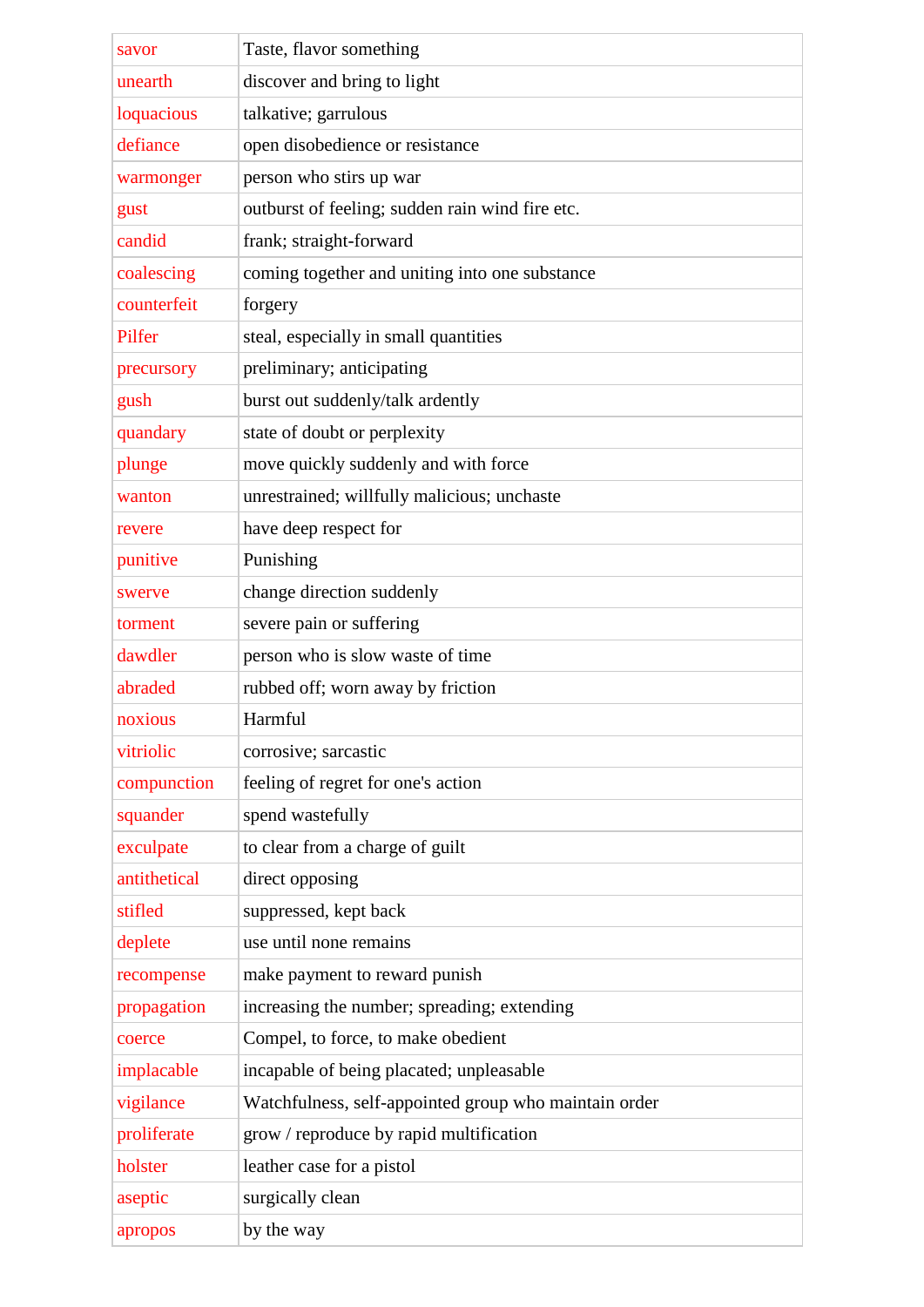| savor        | Taste, flavor something                               |
|--------------|-------------------------------------------------------|
| unearth      | discover and bring to light                           |
| loquacious   | talkative; garrulous                                  |
| defiance     | open disobedience or resistance                       |
| warmonger    | person who stirs up war                               |
| gust         | outburst of feeling; sudden rain wind fire etc.       |
| candid       | frank; straight-forward                               |
| coalescing   | coming together and uniting into one substance        |
| counterfeit  | forgery                                               |
| Pilfer       | steal, especially in small quantities                 |
| precursory   | preliminary; anticipating                             |
| gush         | burst out suddenly/talk ardently                      |
| quandary     | state of doubt or perplexity                          |
| plunge       | move quickly suddenly and with force                  |
| wanton       | unrestrained; willfully malicious; unchaste           |
| revere       | have deep respect for                                 |
| punitive     | Punishing                                             |
| swerve       | change direction suddenly                             |
| torment      | severe pain or suffering                              |
| dawdler      | person who is slow waste of time                      |
| abraded      | rubbed off; worn away by friction                     |
| noxious      | Harmful                                               |
| vitriolic    | corrosive; sarcastic                                  |
| compunction  | feeling of regret for one's action                    |
| squander     | spend wastefully                                      |
| exculpate    | to clear from a charge of guilt                       |
| antithetical | direct opposing                                       |
| stifled      | suppressed, kept back                                 |
| deplete      | use until none remains                                |
| recompense   | make payment to reward punish                         |
| propagation  | increasing the number; spreading; extending           |
| coerce       | Compel, to force, to make obedient                    |
| implacable   | incapable of being placated; unpleasable              |
| vigilance    | Watchfulness, self-appointed group who maintain order |
| proliferate  | grow / reproduce by rapid multification               |
| holster      | leather case for a pistol                             |
| aseptic      | surgically clean                                      |
| apropos      | by the way                                            |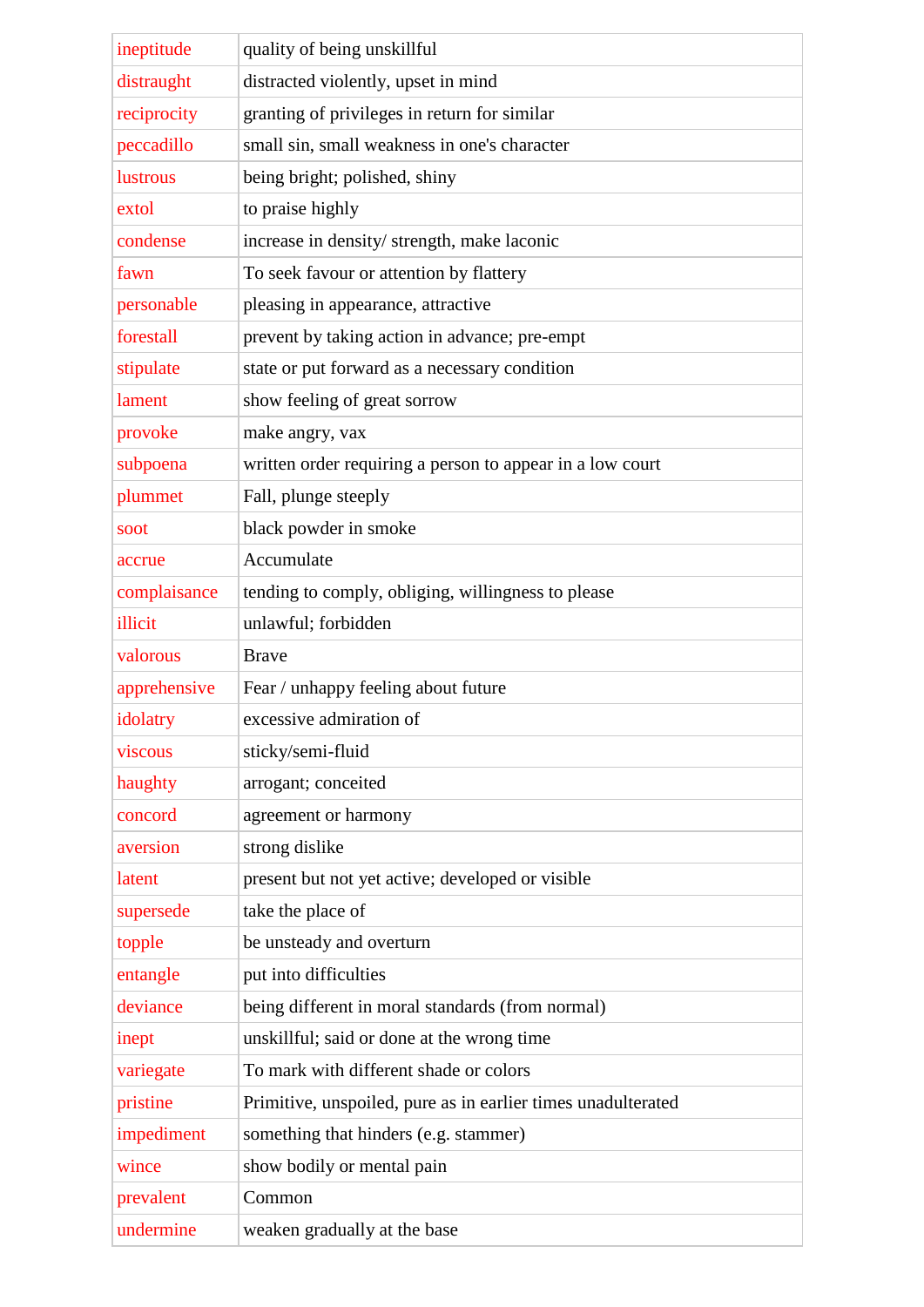| ineptitude   | quality of being unskillful                                  |
|--------------|--------------------------------------------------------------|
| distraught   | distracted violently, upset in mind                          |
| reciprocity  | granting of privileges in return for similar                 |
| peccadillo   | small sin, small weakness in one's character                 |
| lustrous     | being bright; polished, shiny                                |
| extol        | to praise highly                                             |
| condense     | increase in density/ strength, make laconic                  |
| fawn         | To seek favour or attention by flattery                      |
| personable   | pleasing in appearance, attractive                           |
| forestall    | prevent by taking action in advance; pre-empt                |
| stipulate    | state or put forward as a necessary condition                |
| lament       | show feeling of great sorrow                                 |
| provoke      | make angry, vax                                              |
| subpoena     | written order requiring a person to appear in a low court    |
| plummet      | Fall, plunge steeply                                         |
| soot         | black powder in smoke                                        |
| accrue       | Accumulate                                                   |
| complaisance | tending to comply, obliging, willingness to please           |
| illicit      | unlawful; forbidden                                          |
| valorous     | <b>Brave</b>                                                 |
|              |                                                              |
| apprehensive | Fear / unhappy feeling about future                          |
| idolatry     | excessive admiration of                                      |
| viscous      | sticky/semi-fluid                                            |
| haughty      | arrogant; conceited                                          |
| concord      | agreement or harmony                                         |
| aversion     | strong dislike                                               |
| latent       | present but not yet active; developed or visible             |
| supersede    | take the place of                                            |
| topple       | be unsteady and overturn                                     |
| entangle     | put into difficulties                                        |
| deviance     | being different in moral standards (from normal)             |
| inept        | unskillful; said or done at the wrong time                   |
| variegate    | To mark with different shade or colors                       |
| pristine     | Primitive, unspoiled, pure as in earlier times unadulterated |
| impediment   | something that hinders (e.g. stammer)                        |
| wince        | show bodily or mental pain                                   |
| prevalent    | Common                                                       |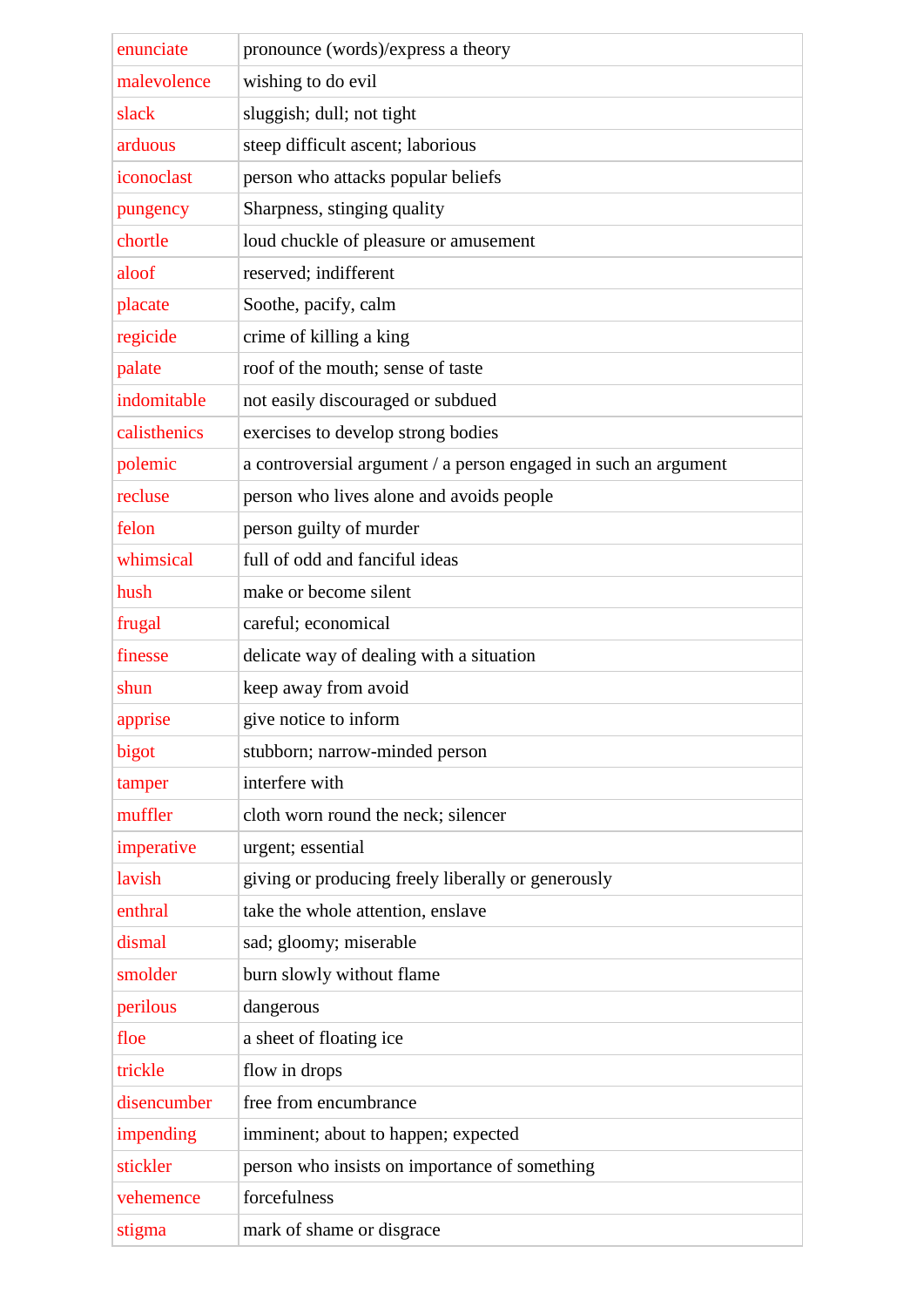| enunciate    |                                                                 |
|--------------|-----------------------------------------------------------------|
| malevolence  | pronounce (words)/express a theory<br>wishing to do evil        |
| slack        | sluggish; dull; not tight                                       |
| arduous      | steep difficult ascent; laborious                               |
| iconoclast   |                                                                 |
|              | person who attacks popular beliefs                              |
| pungency     | Sharpness, stinging quality                                     |
| chortle      | loud chuckle of pleasure or amusement                           |
| aloof        | reserved; indifferent                                           |
| placate      | Soothe, pacify, calm                                            |
| regicide     | crime of killing a king                                         |
| palate       | roof of the mouth; sense of taste                               |
| indomitable  | not easily discouraged or subdued                               |
| calisthenics | exercises to develop strong bodies                              |
| polemic      | a controversial argument / a person engaged in such an argument |
| recluse      | person who lives alone and avoids people                        |
| felon        | person guilty of murder                                         |
| whimsical    | full of odd and fanciful ideas                                  |
| hush         | make or become silent                                           |
| frugal       | careful; economical                                             |
| finesse      | delicate way of dealing with a situation                        |
| shun         | keep away from avoid                                            |
| apprise      | give notice to inform                                           |
| bigot        | stubborn; narrow-minded person                                  |
| tamper       | interfere with                                                  |
| muffler      | cloth worn round the neck; silencer                             |
| imperative   | urgent; essential                                               |
| lavish       | giving or producing freely liberally or generously              |
| enthral      | take the whole attention, enslave                               |
| dismal       | sad; gloomy; miserable                                          |
| smolder      | burn slowly without flame                                       |
| perilous     | dangerous                                                       |
| floe         | a sheet of floating ice                                         |
| trickle      | flow in drops                                                   |
| disencumber  | free from encumbrance                                           |
| impending    | imminent; about to happen; expected                             |
| stickler     | person who insists on importance of something                   |
| vehemence    | forcefulness                                                    |
| stigma       | mark of shame or disgrace                                       |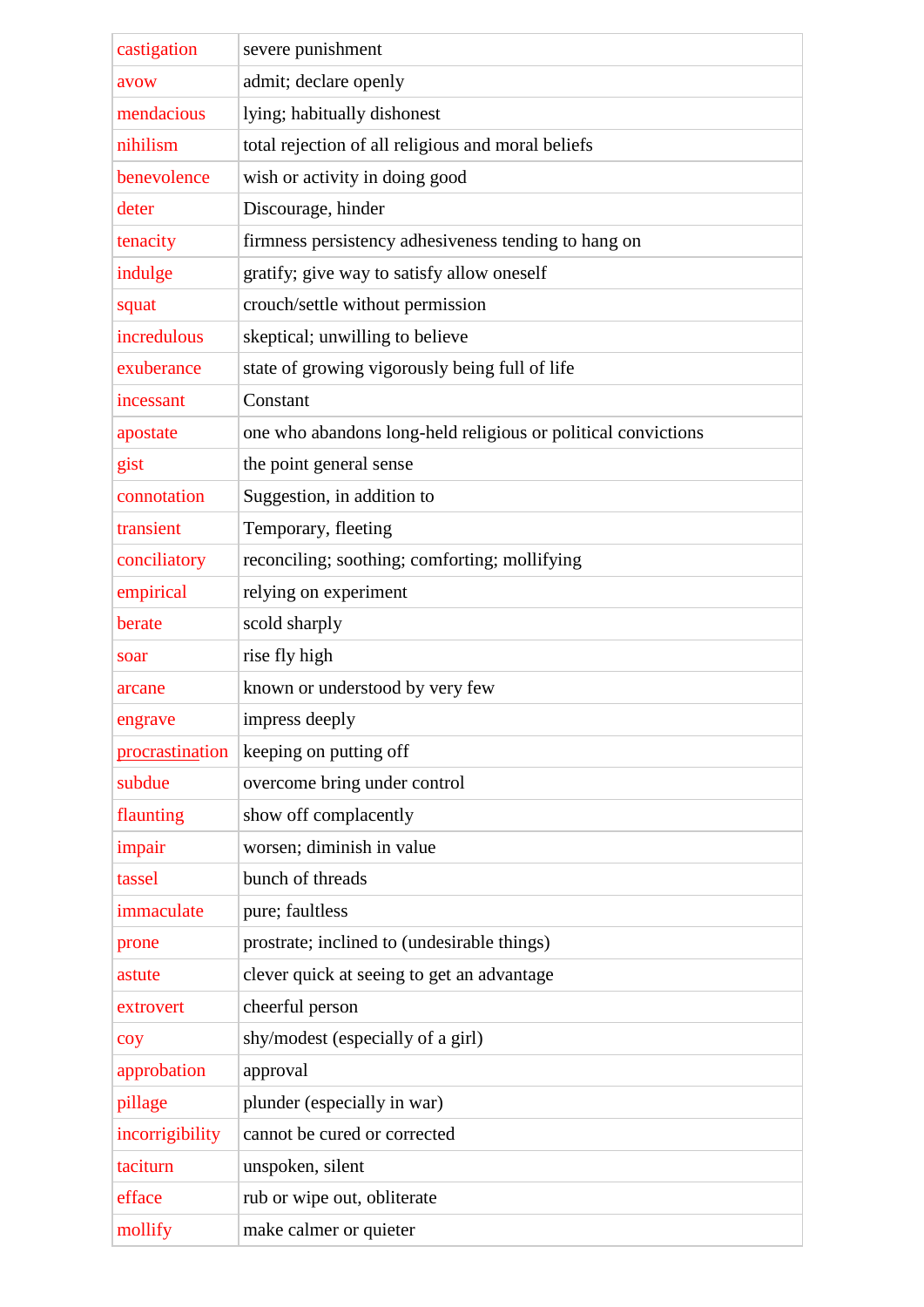| castigation     | severe punishment<br>admit; declare openly                    |
|-----------------|---------------------------------------------------------------|
| avow            |                                                               |
| mendacious      | lying; habitually dishonest                                   |
| nihilism        | total rejection of all religious and moral beliefs            |
| benevolence     | wish or activity in doing good                                |
| deter           | Discourage, hinder                                            |
| tenacity        | firmness persistency adhesiveness tending to hang on          |
| indulge         | gratify; give way to satisfy allow oneself                    |
| squat           | crouch/settle without permission                              |
| incredulous     | skeptical; unwilling to believe                               |
| exuberance      | state of growing vigorously being full of life                |
| incessant       | Constant                                                      |
| apostate        | one who abandons long-held religious or political convictions |
| gist            | the point general sense                                       |
| connotation     | Suggestion, in addition to                                    |
| transient       | Temporary, fleeting                                           |
| conciliatory    | reconciling; soothing; comforting; mollifying                 |
| empirical       | relying on experiment                                         |
| berate          | scold sharply                                                 |
| soar            | rise fly high                                                 |
| arcane          | known or understood by very few                               |
| engrave         | impress deeply                                                |
| procrastination | keeping on putting off                                        |
| subdue          | overcome bring under control                                  |
| flaunting       | show off complacently                                         |
| impair          | worsen; diminish in value                                     |
| tassel          | bunch of threads                                              |
| immaculate      | pure; faultless                                               |
| prone           | prostrate; inclined to (undesirable things)                   |
| astute          | clever quick at seeing to get an advantage                    |
| extrovert       | cheerful person                                               |
| coy             | shy/modest (especially of a girl)                             |
| approbation     | approval                                                      |
| pillage         | plunder (especially in war)                                   |
| incorrigibility | cannot be cured or corrected                                  |
| taciturn        | unspoken, silent                                              |
| efface          | rub or wipe out, obliterate                                   |
| mollify         | make calmer or quieter                                        |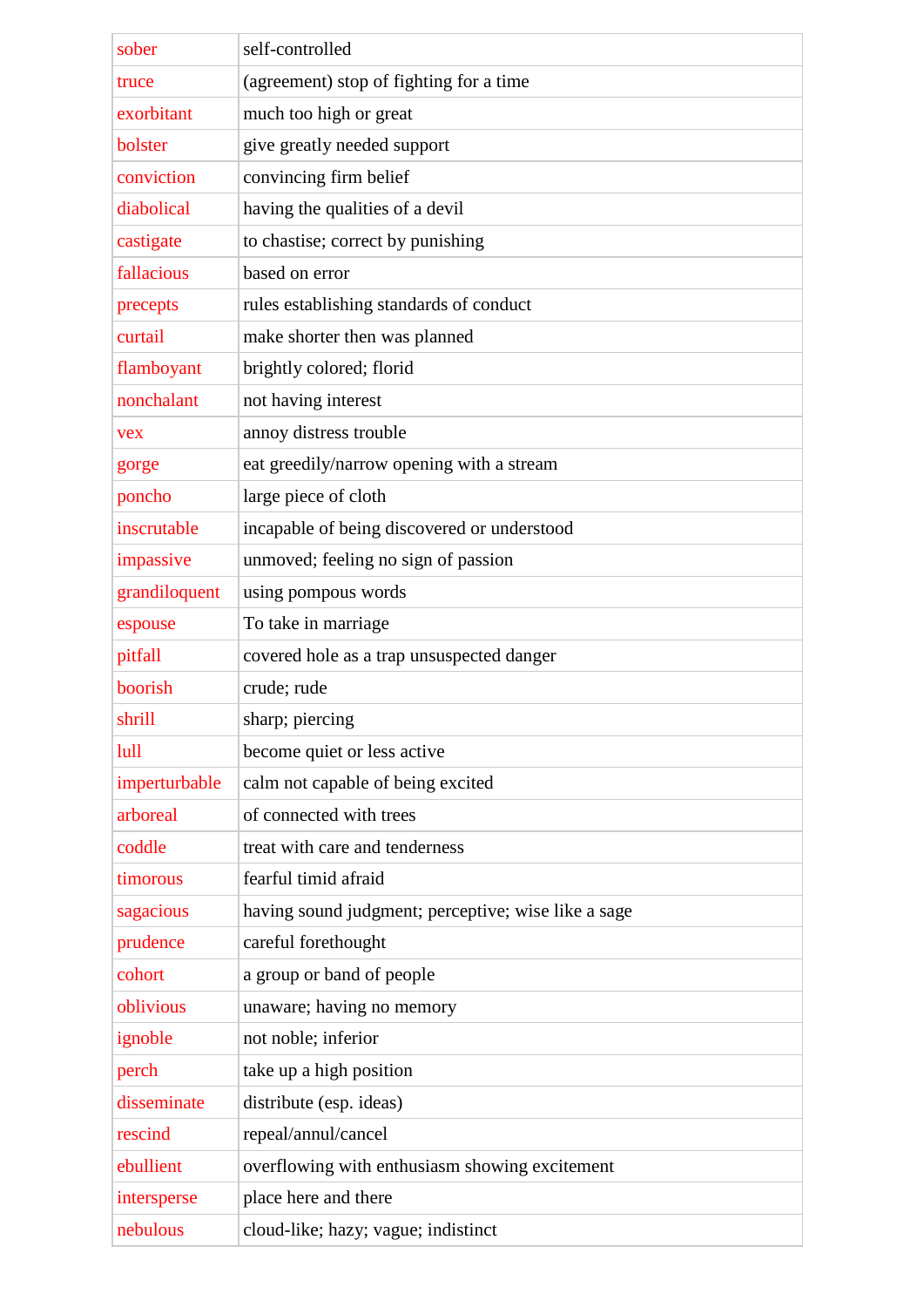| sober         | self-controlled                                     |
|---------------|-----------------------------------------------------|
| truce         | (agreement) stop of fighting for a time             |
| exorbitant    | much too high or great                              |
| bolster       | give greatly needed support                         |
| conviction    | convincing firm belief                              |
| diabolical    | having the qualities of a devil                     |
| castigate     | to chastise; correct by punishing                   |
| fallacious    | based on error                                      |
| precepts      | rules establishing standards of conduct             |
| curtail       | make shorter then was planned                       |
| flamboyant    | brightly colored; florid                            |
| nonchalant    | not having interest                                 |
| <b>vex</b>    | annoy distress trouble                              |
| gorge         | eat greedily/narrow opening with a stream           |
| poncho        | large piece of cloth                                |
| inscrutable   | incapable of being discovered or understood         |
| impassive     | unmoved; feeling no sign of passion                 |
| grandiloquent | using pompous words                                 |
| espouse       | To take in marriage                                 |
| pitfall       | covered hole as a trap unsuspected danger           |
| boorish       | crude; rude                                         |
| shrill        | sharp; piercing                                     |
| lull          | become quiet or less active                         |
| imperturbable | calm not capable of being excited                   |
| arboreal      | of connected with trees                             |
| coddle        | treat with care and tenderness                      |
| timorous      | fearful timid afraid                                |
| sagacious     | having sound judgment; perceptive; wise like a sage |
| prudence      | careful forethought                                 |
| cohort        | a group or band of people                           |
| oblivious     | unaware; having no memory                           |
| ignoble       | not noble; inferior                                 |
| perch         | take up a high position                             |
| disseminate   | distribute (esp. ideas)                             |
| rescind       | repeal/annul/cancel                                 |
| ebullient     | overflowing with enthusiasm showing excitement      |
| intersperse   | place here and there                                |
| nebulous      | cloud-like; hazy; vague; indistinct                 |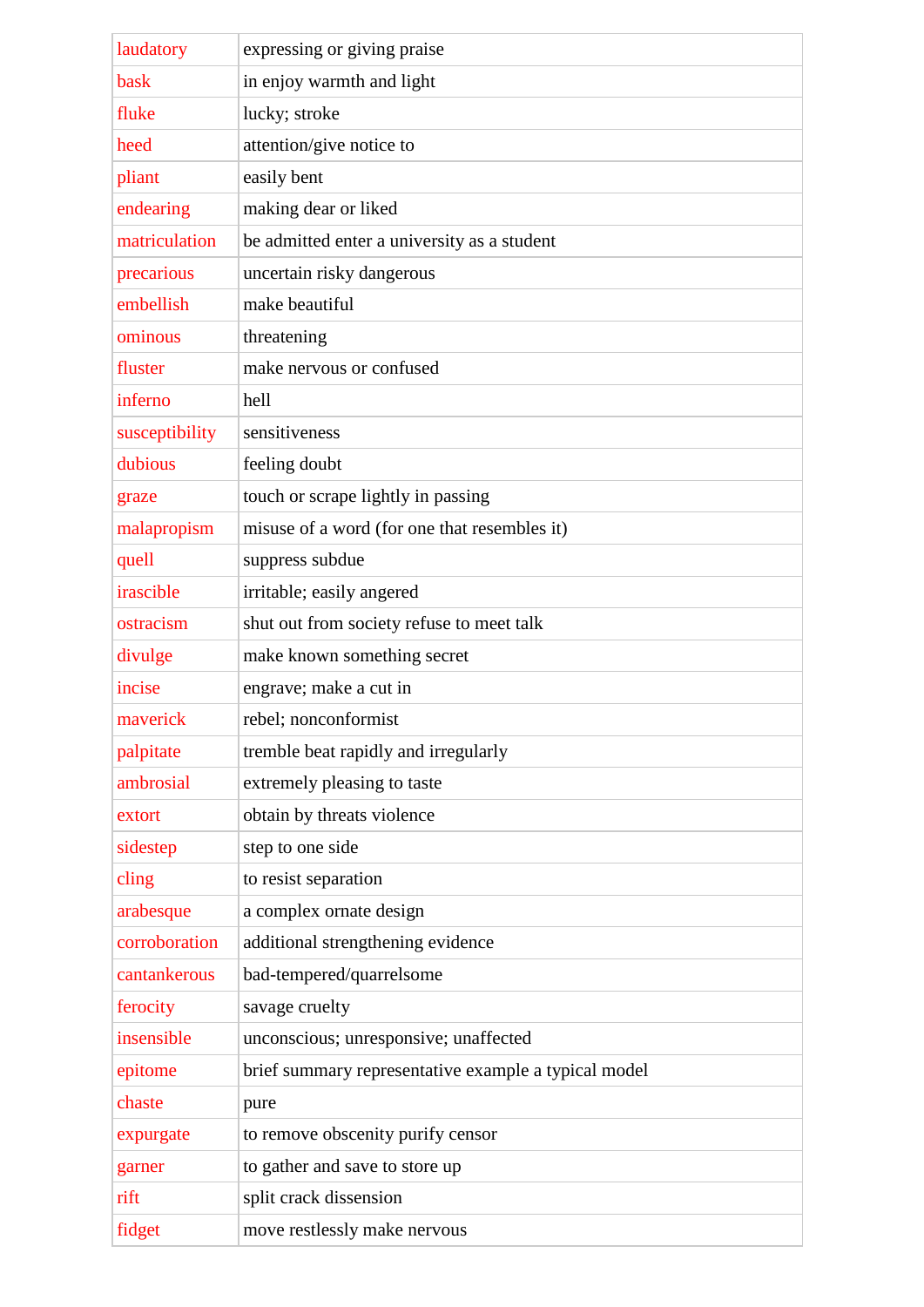| laudatory      | expressing or giving praise                          |
|----------------|------------------------------------------------------|
| bask           | in enjoy warmth and light                            |
| fluke          | lucky; stroke                                        |
| heed           | attention/give notice to                             |
| pliant         | easily bent                                          |
| endearing      | making dear or liked                                 |
| matriculation  | be admitted enter a university as a student          |
| precarious     | uncertain risky dangerous                            |
| embellish      | make beautiful                                       |
| ominous        | threatening                                          |
| fluster        | make nervous or confused                             |
| inferno        | hell                                                 |
| susceptibility | sensitiveness                                        |
| dubious        | feeling doubt                                        |
| graze          | touch or scrape lightly in passing                   |
| malapropism    | misuse of a word (for one that resembles it)         |
| quell          | suppress subdue                                      |
| irascible      | irritable; easily angered                            |
| ostracism      | shut out from society refuse to meet talk            |
| divulge        | make known something secret                          |
| incise         | engrave; make a cut in                               |
| maverick       | rebel; nonconformist                                 |
| palpitate      | tremble beat rapidly and irregularly                 |
| ambrosial      | extremely pleasing to taste                          |
| extort         | obtain by threats violence                           |
| sidestep       | step to one side                                     |
| cling          | to resist separation                                 |
| arabesque      | a complex ornate design                              |
| corroboration  | additional strengthening evidence                    |
| cantankerous   | bad-tempered/quarrelsome                             |
| ferocity       | savage cruelty                                       |
| insensible     | unconscious; unresponsive; unaffected                |
| epitome        | brief summary representative example a typical model |
| chaste         | pure                                                 |
| expurgate      | to remove obscenity purify censor                    |
| garner         | to gather and save to store up                       |
| rift           | split crack dissension                               |
| fidget         | move restlessly make nervous                         |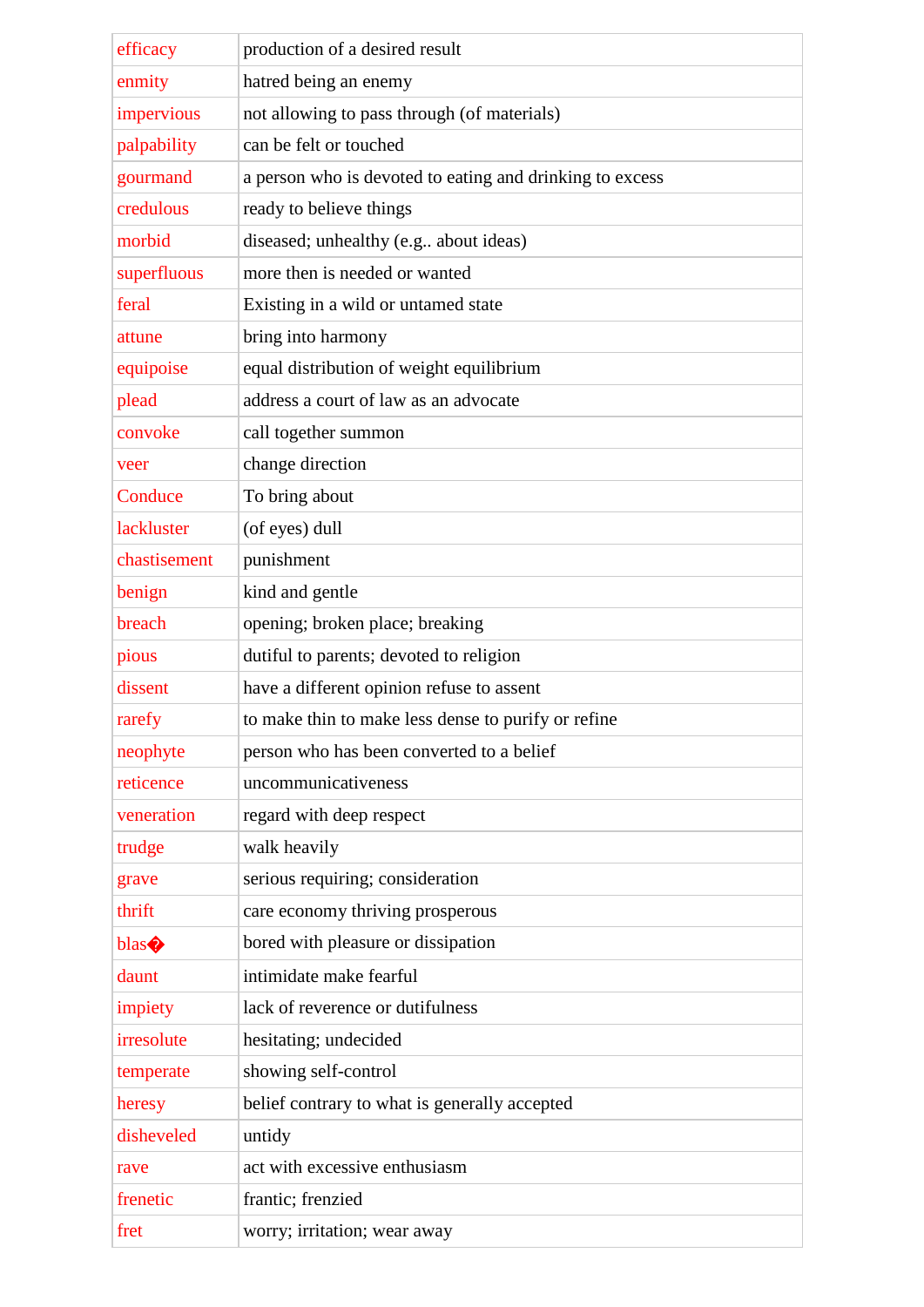| efficacy     | production of a desired result                           |
|--------------|----------------------------------------------------------|
| enmity       | hatred being an enemy                                    |
| impervious   | not allowing to pass through (of materials)              |
| palpability  | can be felt or touched                                   |
| gourmand     | a person who is devoted to eating and drinking to excess |
| credulous    | ready to believe things                                  |
| morbid       | diseased; unhealthy (e.g., about ideas)                  |
| superfluous  | more then is needed or wanted                            |
| feral        | Existing in a wild or untamed state                      |
| attune       | bring into harmony                                       |
| equipoise    | equal distribution of weight equilibrium                 |
| plead        | address a court of law as an advocate                    |
| convoke      | call together summon                                     |
| veer         | change direction                                         |
| Conduce      | To bring about                                           |
| lackluster   | (of eyes) dull                                           |
| chastisement | punishment                                               |
| benign       | kind and gentle                                          |
| breach       | opening; broken place; breaking                          |
| pious        | dutiful to parents; devoted to religion                  |
| dissent      | have a different opinion refuse to assent                |
| rarefy       | to make thin to make less dense to purify or refine      |
| neophyte     | person who has been converted to a belief                |
| reticence    | uncommunicativeness                                      |
| veneration   | regard with deep respect                                 |
| trudge       | walk heavily                                             |
| grave        | serious requiring; consideration                         |
| thrift       | care economy thriving prosperous                         |
| blas         | bored with pleasure or dissipation                       |
| daunt        | intimidate make fearful                                  |
| impiety      | lack of reverence or dutifulness                         |
| irresolute   | hesitating; undecided                                    |
| temperate    | showing self-control                                     |
| heresy       | belief contrary to what is generally accepted            |
| disheveled   | untidy                                                   |
| rave         | act with excessive enthusiasm                            |
| frenetic     | frantic; frenzied                                        |
| fret         | worry; irritation; wear away                             |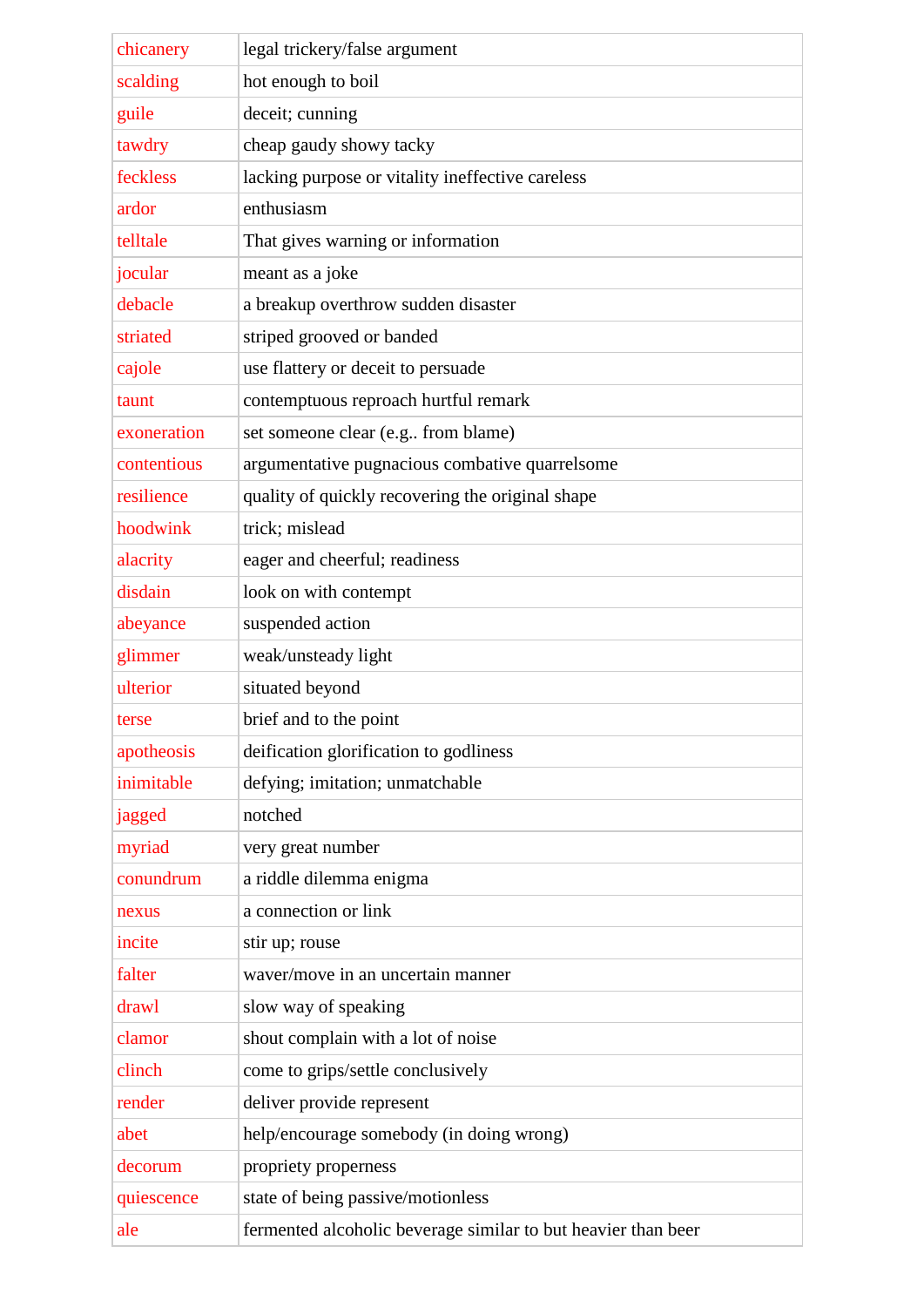| chicanery   | legal trickery/false argument                                 |
|-------------|---------------------------------------------------------------|
| scalding    | hot enough to boil                                            |
| guile       | deceit; cunning                                               |
| tawdry      | cheap gaudy showy tacky                                       |
| feckless    | lacking purpose or vitality ineffective careless              |
| ardor       | enthusiasm                                                    |
| telltale    | That gives warning or information                             |
| jocular     | meant as a joke                                               |
| debacle     | a breakup overthrow sudden disaster                           |
| striated    | striped grooved or banded                                     |
| cajole      | use flattery or deceit to persuade                            |
| taunt       | contemptuous reproach hurtful remark                          |
| exoneration | set someone clear (e.g from blame)                            |
| contentious | argumentative pugnacious combative quarrelsome                |
| resilience  | quality of quickly recovering the original shape              |
| hoodwink    | trick; mislead                                                |
| alacrity    | eager and cheerful; readiness                                 |
| disdain     | look on with contempt                                         |
| abeyance    | suspended action                                              |
| glimmer     | weak/unsteady light                                           |
| ulterior    | situated beyond                                               |
| terse       | brief and to the point                                        |
| apotheosis  | deification glorification to godliness                        |
| inimitable  | defying; imitation; unmatchable                               |
| jagged      | notched                                                       |
| myriad      | very great number                                             |
| conundrum   | a riddle dilemma enigma                                       |
| nexus       | a connection or link                                          |
| incite      | stir up; rouse                                                |
| falter      | waver/move in an uncertain manner                             |
| drawl       | slow way of speaking                                          |
| clamor      | shout complain with a lot of noise                            |
| clinch      | come to grips/settle conclusively                             |
| render      | deliver provide represent                                     |
| abet        | help/encourage somebody (in doing wrong)                      |
| decorum     | propriety properness                                          |
| quiescence  | state of being passive/motionless                             |
| ale         | fermented alcoholic beverage similar to but heavier than beer |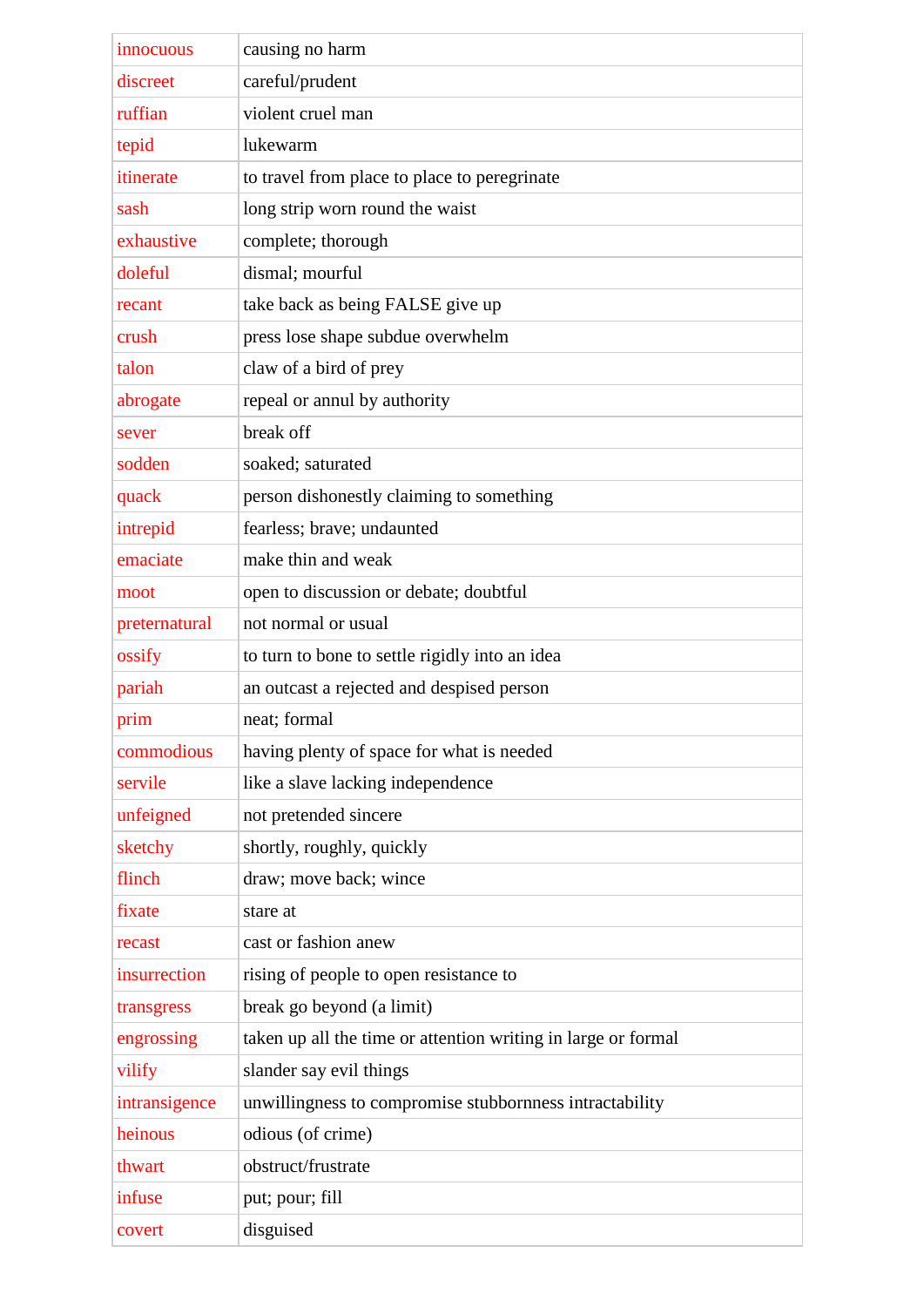| innocuous     | causing no harm                                               |
|---------------|---------------------------------------------------------------|
| discreet      | careful/prudent                                               |
| ruffian       | violent cruel man                                             |
| tepid         | lukewarm                                                      |
| itinerate     | to travel from place to place to peregrinate                  |
| sash          | long strip worn round the waist                               |
| exhaustive    | complete; thorough                                            |
| doleful       | dismal; mourful                                               |
| recant        | take back as being FALSE give up                              |
| crush         | press lose shape subdue overwhelm                             |
| talon         | claw of a bird of prey                                        |
| abrogate      | repeal or annul by authority                                  |
| sever         | break off                                                     |
| sodden        | soaked; saturated                                             |
| quack         | person dishonestly claiming to something                      |
| intrepid      | fearless; brave; undaunted                                    |
| emaciate      | make thin and weak                                            |
| moot          | open to discussion or debate; doubtful                        |
| preternatural | not normal or usual                                           |
| ossify        | to turn to bone to settle rigidly into an idea                |
| pariah        | an outcast a rejected and despised person                     |
| prim          | neat; formal                                                  |
| commodious    | having plenty of space for what is needed                     |
| servile       | like a slave lacking independence                             |
| unfeigned     | not pretended sincere                                         |
| sketchy       | shortly, roughly, quickly                                     |
| flinch        | draw; move back; wince                                        |
| fixate        | stare at                                                      |
| recast        | cast or fashion anew                                          |
| insurrection  | rising of people to open resistance to                        |
| transgress    | break go beyond (a limit)                                     |
| engrossing    | taken up all the time or attention writing in large or formal |
| vilify        | slander say evil things                                       |
| intransigence | unwillingness to compromise stubbornness intractability       |
| heinous       | odious (of crime)                                             |
| thwart        | obstruct/frustrate                                            |
| infuse        | put; pour; fill                                               |
| covert        | disguised                                                     |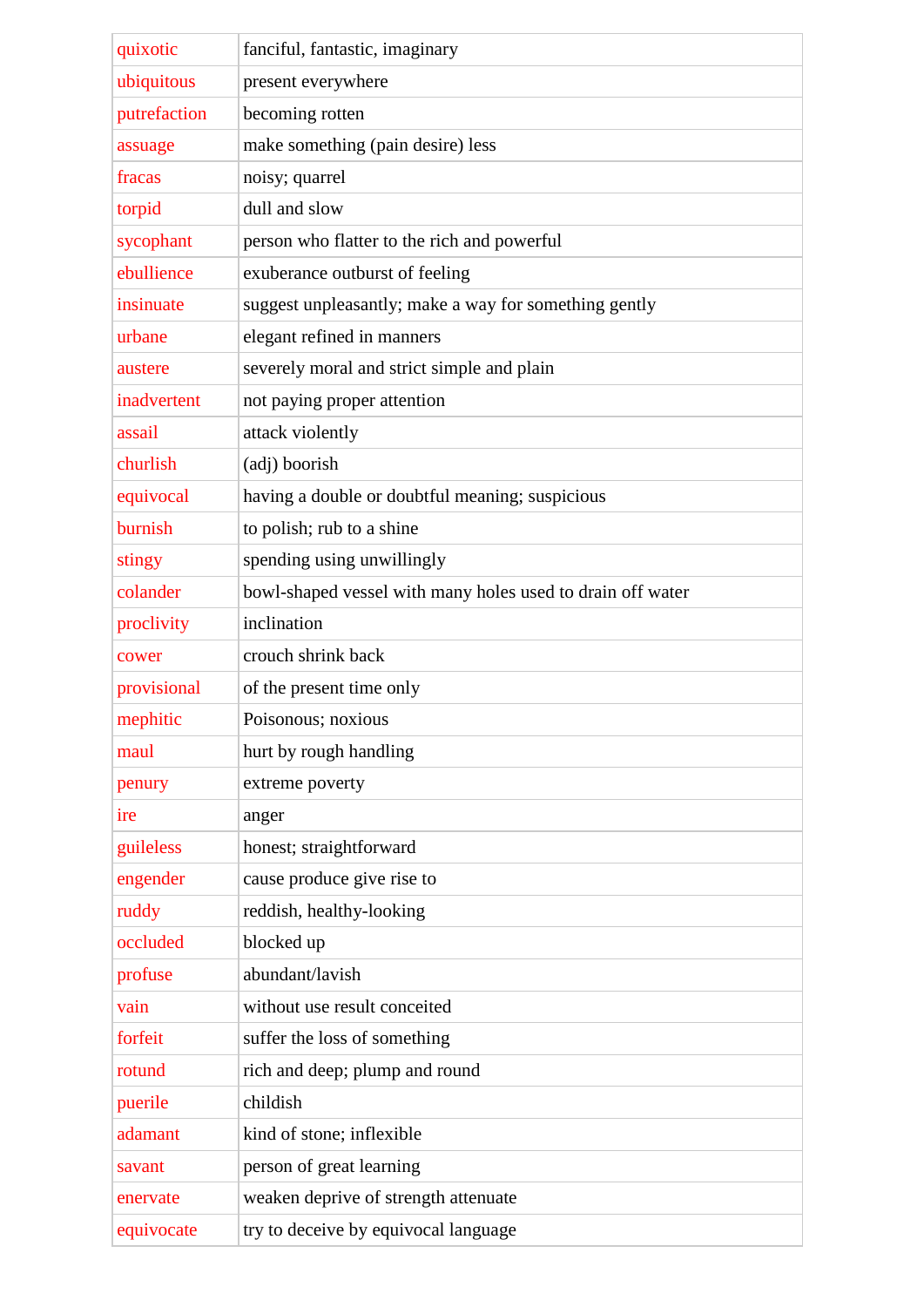| quixotic     | fanciful, fantastic, imaginary                             |
|--------------|------------------------------------------------------------|
| ubiquitous   | present everywhere                                         |
| putrefaction | becoming rotten                                            |
| assuage      | make something (pain desire) less                          |
| fracas       | noisy; quarrel                                             |
| torpid       | dull and slow                                              |
| sycophant    | person who flatter to the rich and powerful                |
| ebullience   | exuberance outburst of feeling                             |
| insinuate    | suggest unpleasantly; make a way for something gently      |
| urbane       | elegant refined in manners                                 |
| austere      | severely moral and strict simple and plain                 |
| inadvertent  | not paying proper attention                                |
| assail       | attack violently                                           |
| churlish     | (adj) boorish                                              |
| equivocal    | having a double or doubtful meaning; suspicious            |
| burnish      | to polish; rub to a shine                                  |
| stingy       | spending using unwillingly                                 |
| colander     | bowl-shaped vessel with many holes used to drain off water |
| proclivity   | inclination                                                |
| cower        | crouch shrink back                                         |
| provisional  | of the present time only                                   |
| mephitic     | Poisonous; noxious                                         |
| maul         | hurt by rough handling                                     |
| penury       | extreme poverty                                            |
| ire          | anger                                                      |
| guileless    | honest; straightforward                                    |
| engender     | cause produce give rise to                                 |
| ruddy        | reddish, healthy-looking                                   |
| occluded     | blocked up                                                 |
| profuse      | abundant/lavish                                            |
| vain         | without use result conceited                               |
| forfeit      | suffer the loss of something                               |
| rotund       | rich and deep; plump and round                             |
| puerile      | childish                                                   |
| adamant      | kind of stone; inflexible                                  |
| savant       | person of great learning                                   |
| enervate     | weaken deprive of strength attenuate                       |
| equivocate   | try to deceive by equivocal language                       |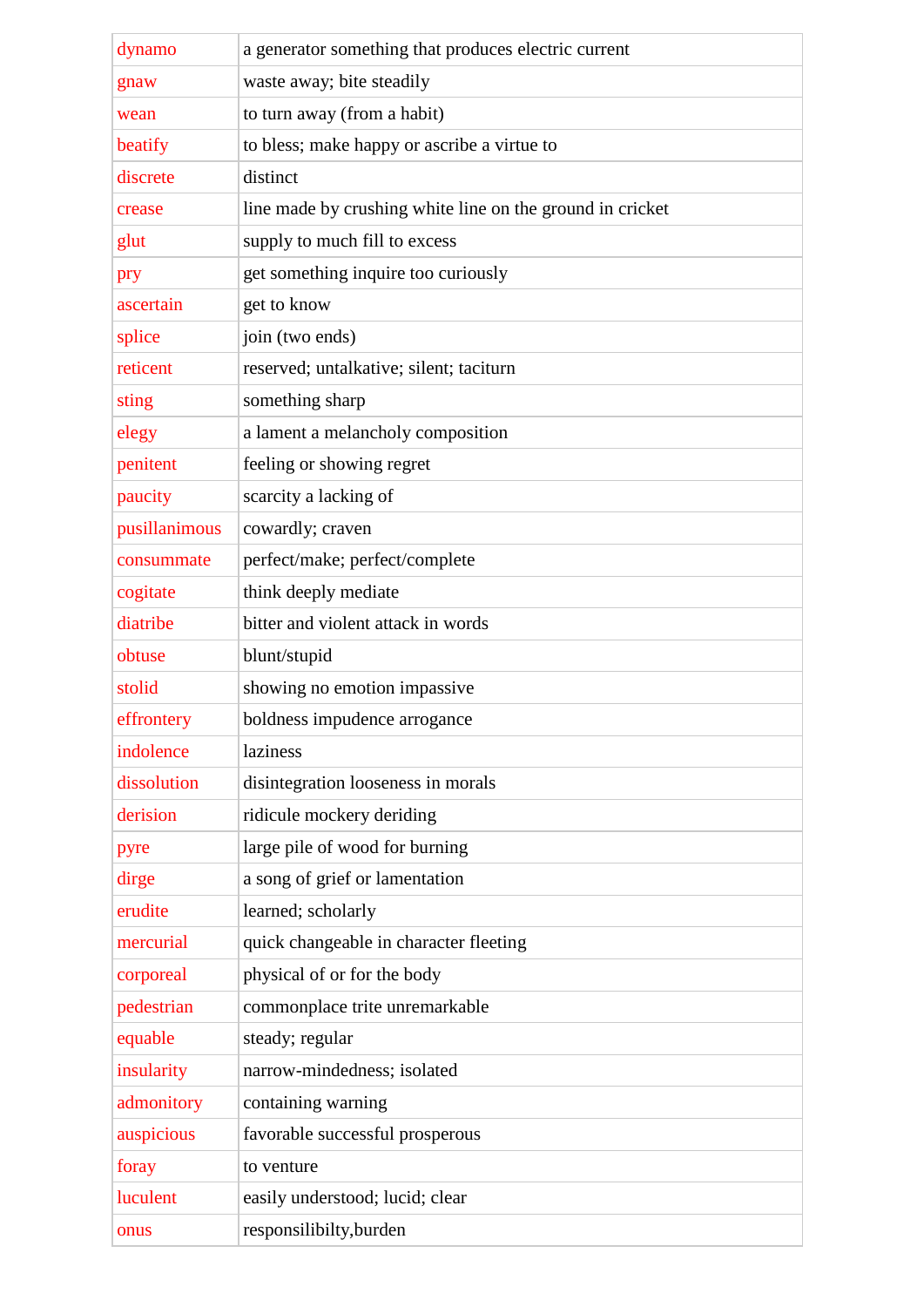| dynamo        | a generator something that produces electric current      |
|---------------|-----------------------------------------------------------|
| gnaw          | waste away; bite steadily                                 |
| wean          | to turn away (from a habit)                               |
| beatify       | to bless; make happy or ascribe a virtue to               |
| discrete      | distinct                                                  |
| crease        | line made by crushing white line on the ground in cricket |
| glut          | supply to much fill to excess                             |
| pry           | get something inquire too curiously                       |
| ascertain     | get to know                                               |
| splice        | join (two ends)                                           |
| reticent      | reserved; untalkative; silent; taciturn                   |
| sting         | something sharp                                           |
| elegy         | a lament a melancholy composition                         |
| penitent      | feeling or showing regret                                 |
| paucity       | scarcity a lacking of                                     |
| pusillanimous | cowardly; craven                                          |
| consummate    | perfect/make; perfect/complete                            |
| cogitate      | think deeply mediate                                      |
| diatribe      | bitter and violent attack in words                        |
| obtuse        | blunt/stupid                                              |
| stolid        | showing no emotion impassive                              |
| effrontery    | boldness impudence arrogance                              |
| indolence     | laziness                                                  |
| dissolution   | disintegration looseness in morals                        |
| derision      | ridicule mockery deriding                                 |
| pyre          | large pile of wood for burning                            |
| dirge         | a song of grief or lamentation                            |
| erudite       | learned; scholarly                                        |
| mercurial     | quick changeable in character fleeting                    |
| corporeal     | physical of or for the body                               |
| pedestrian    | commonplace trite unremarkable                            |
| equable       | steady; regular                                           |
| insularity    | narrow-mindedness; isolated                               |
| admonitory    | containing warning                                        |
| auspicious    | favorable successful prosperous                           |
| foray         | to venture                                                |
| luculent      | easily understood; lucid; clear                           |
| onus          | responsilibilty, burden                                   |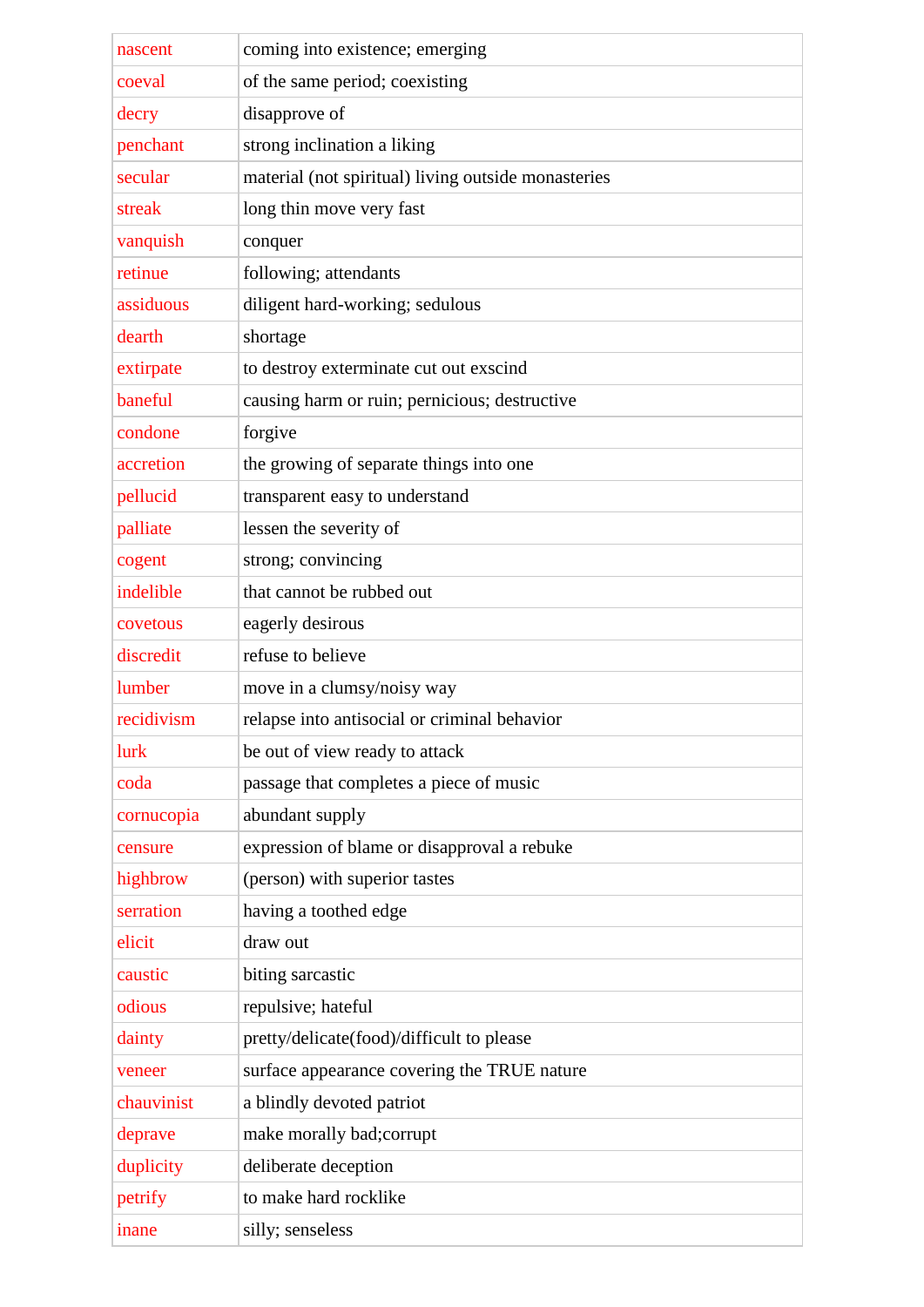| nascent<br>coeval | coming into existence; emerging<br>of the same period; coexisting |
|-------------------|-------------------------------------------------------------------|
|                   |                                                                   |
| decry             | disapprove of                                                     |
| penchant          | strong inclination a liking                                       |
| secular           | material (not spiritual) living outside monasteries               |
| streak            | long thin move very fast                                          |
| vanquish          | conquer                                                           |
| retinue           | following; attendants                                             |
| assiduous         | diligent hard-working; sedulous                                   |
| dearth            | shortage                                                          |
| extirpate         | to destroy exterminate cut out exscind                            |
| baneful           | causing harm or ruin; pernicious; destructive                     |
| condone           | forgive                                                           |
| accretion         | the growing of separate things into one                           |
| pellucid          | transparent easy to understand                                    |
| palliate          | lessen the severity of                                            |
| cogent            | strong; convincing                                                |
| indelible         | that cannot be rubbed out                                         |
| covetous          | eagerly desirous                                                  |
| discredit         | refuse to believe                                                 |
| lumber            | move in a clumsy/noisy way                                        |
| recidivism        | relapse into antisocial or criminal behavior                      |
| lurk              | be out of view ready to attack                                    |
| coda              | passage that completes a piece of music                           |
| cornucopia        | abundant supply                                                   |
| censure           | expression of blame or disapproval a rebuke                       |
| highbrow          | (person) with superior tastes                                     |
| serration         | having a toothed edge                                             |
| elicit            | draw out                                                          |
| caustic           | biting sarcastic                                                  |
| odious            | repulsive; hateful                                                |
| dainty            | pretty/delicate(food)/difficult to please                         |
| veneer            | surface appearance covering the TRUE nature                       |
| chauvinist        | a blindly devoted patriot                                         |
| deprave           | make morally bad; corrupt                                         |
| duplicity         | deliberate deception                                              |
| petrify           | to make hard rocklike                                             |
| inane             | silly; senseless                                                  |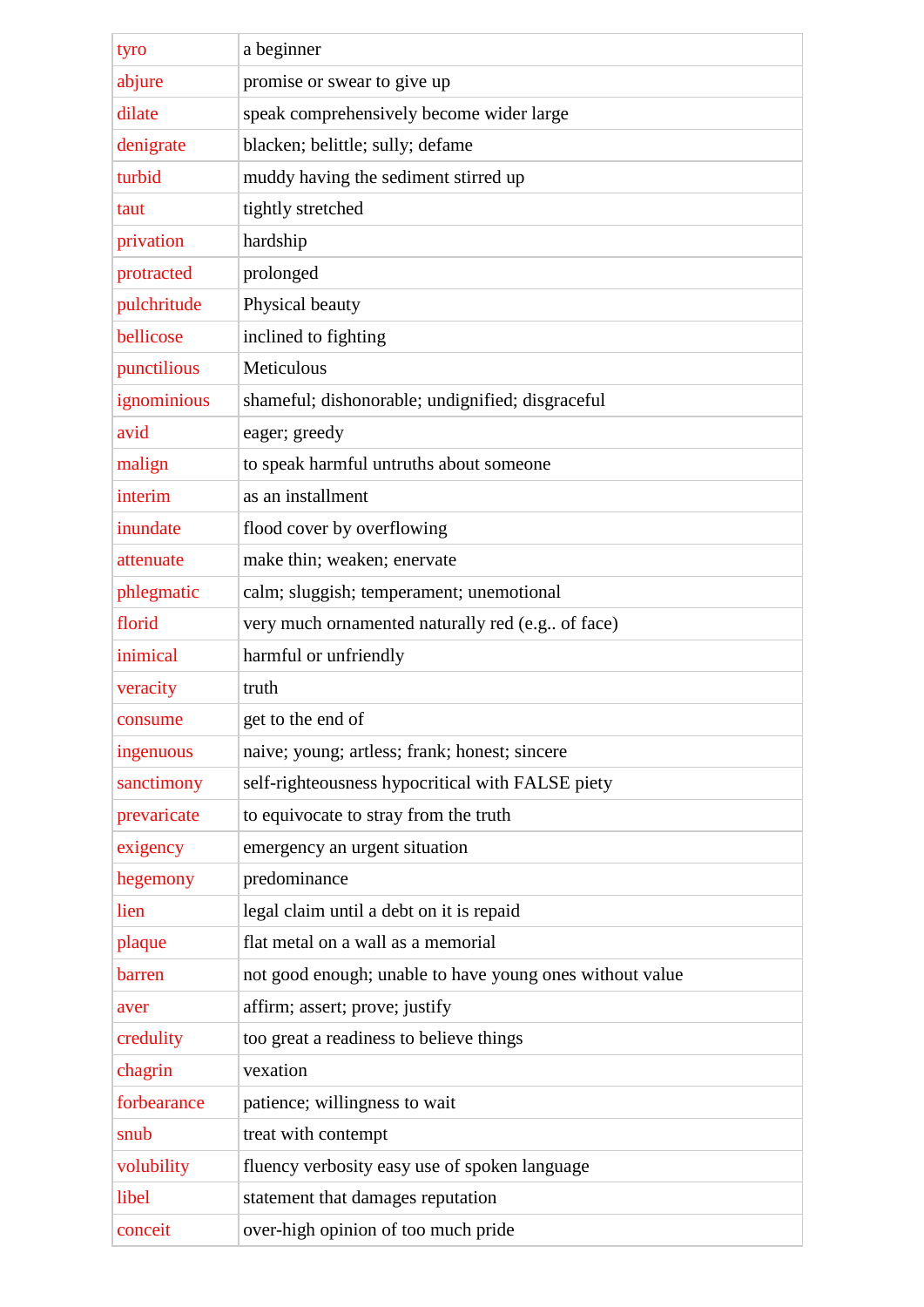| tyro        | a beginner                                               |
|-------------|----------------------------------------------------------|
| abjure      | promise or swear to give up                              |
| dilate      | speak comprehensively become wider large                 |
| denigrate   | blacken; belittle; sully; defame                         |
| turbid      | muddy having the sediment stirred up                     |
| taut        | tightly stretched                                        |
| privation   | hardship                                                 |
| protracted  | prolonged                                                |
| pulchritude | Physical beauty                                          |
| bellicose   | inclined to fighting                                     |
| punctilious | Meticulous                                               |
| ignominious | shameful; dishonorable; undignified; disgraceful         |
| avid        | eager; greedy                                            |
| malign      | to speak harmful untruths about someone                  |
| interim     | as an installment                                        |
| inundate    | flood cover by overflowing                               |
| attenuate   | make thin; weaken; enervate                              |
| phlegmatic  | calm; sluggish; temperament; unemotional                 |
| florid      | very much ornamented naturally red (e.g of face)         |
| inimical    | harmful or unfriendly                                    |
| veracity    | truth                                                    |
| consume     | get to the end of                                        |
| ingenuous   | naive; young; artless; frank; honest; sincere            |
| sanctimony  | self-righteousness hypocritical with FALSE piety         |
| prevaricate | to equivocate to stray from the truth                    |
| exigency    | emergency an urgent situation                            |
| hegemony    | predominance                                             |
| lien        | legal claim until a debt on it is repaid                 |
| plaque      | flat metal on a wall as a memorial                       |
| barren      | not good enough; unable to have young ones without value |
| aver        | affirm; assert; prove; justify                           |
| credulity   | too great a readiness to believe things                  |
| chagrin     | vexation                                                 |
| forbearance | patience; willingness to wait                            |
| snub        | treat with contempt                                      |
| volubility  | fluency verbosity easy use of spoken language            |
| libel       | statement that damages reputation                        |
| conceit     | over-high opinion of too much pride                      |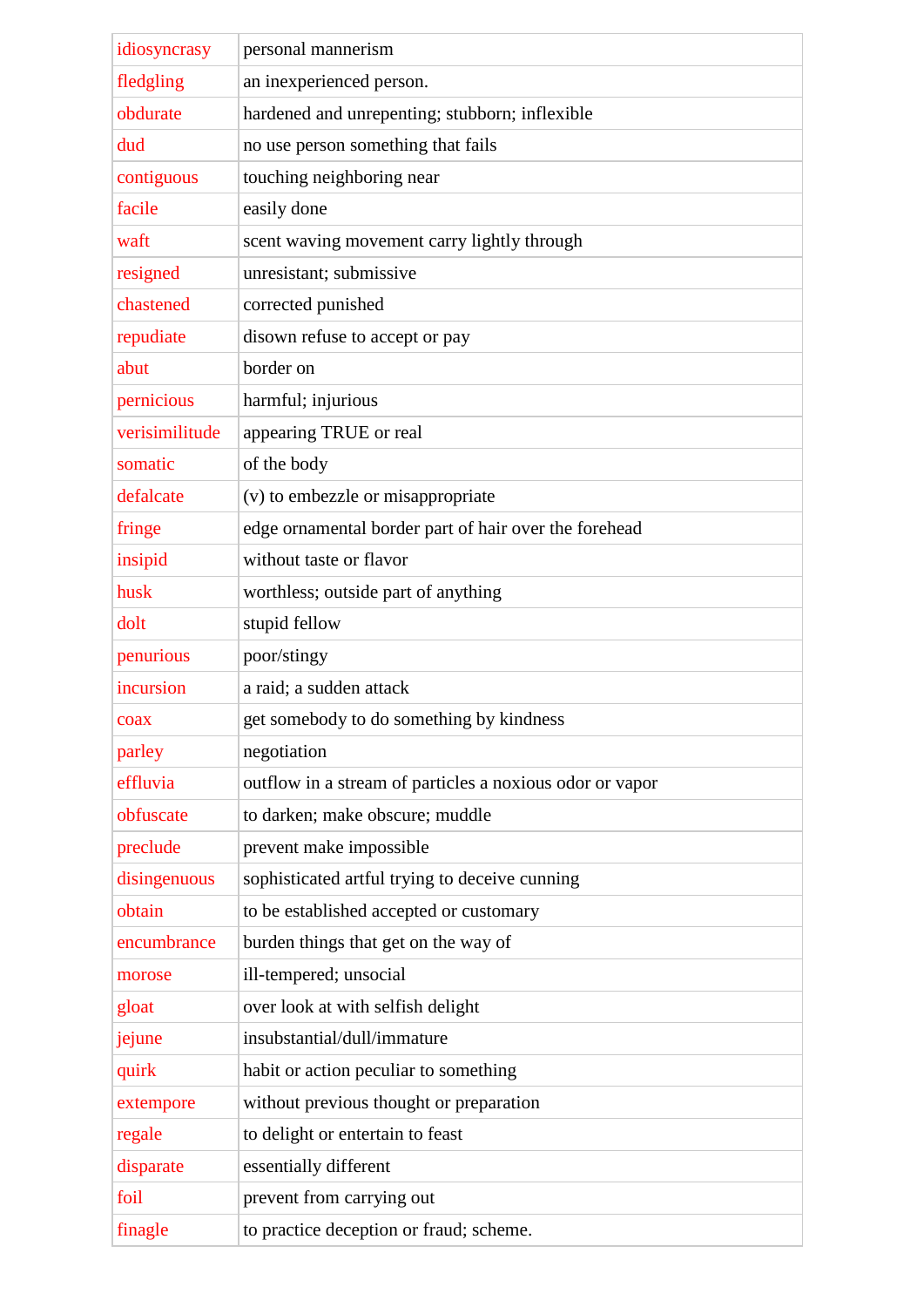| idiosyncrasy   | personal mannerism                                       |
|----------------|----------------------------------------------------------|
| fledgling      | an inexperienced person.                                 |
| obdurate       | hardened and unrepenting; stubborn; inflexible           |
| dud            | no use person something that fails                       |
| contiguous     | touching neighboring near                                |
| facile         | easily done                                              |
| waft           | scent waving movement carry lightly through              |
| resigned       | unresistant; submissive                                  |
| chastened      | corrected punished                                       |
| repudiate      | disown refuse to accept or pay                           |
| abut           | border on                                                |
| pernicious     | harmful; injurious                                       |
| verisimilitude | appearing TRUE or real                                   |
| somatic        | of the body                                              |
| defalcate      | (v) to embezzle or misappropriate                        |
| fringe         | edge ornamental border part of hair over the forehead    |
| insipid        | without taste or flavor                                  |
| husk           | worthless; outside part of anything                      |
| dolt           | stupid fellow                                            |
| penurious      | poor/stingy                                              |
| incursion      | a raid; a sudden attack                                  |
| coax           | get somebody to do something by kindness                 |
| parley         | negotiation                                              |
| effluvia       | outflow in a stream of particles a noxious odor or vapor |
| obfuscate      | to darken; make obscure; muddle                          |
| preclude       | prevent make impossible                                  |
| disingenuous   | sophisticated artful trying to deceive cunning           |
| obtain         | to be established accepted or customary                  |
| encumbrance    | burden things that get on the way of                     |
| morose         | ill-tempered; unsocial                                   |
| gloat          | over look at with selfish delight                        |
| jejune         | insubstantial/dull/immature                              |
| quirk          | habit or action peculiar to something                    |
| extempore      | without previous thought or preparation                  |
| regale         | to delight or entertain to feast                         |
| disparate      | essentially different                                    |
| foil           | prevent from carrying out                                |
| finagle        | to practice deception or fraud; scheme.                  |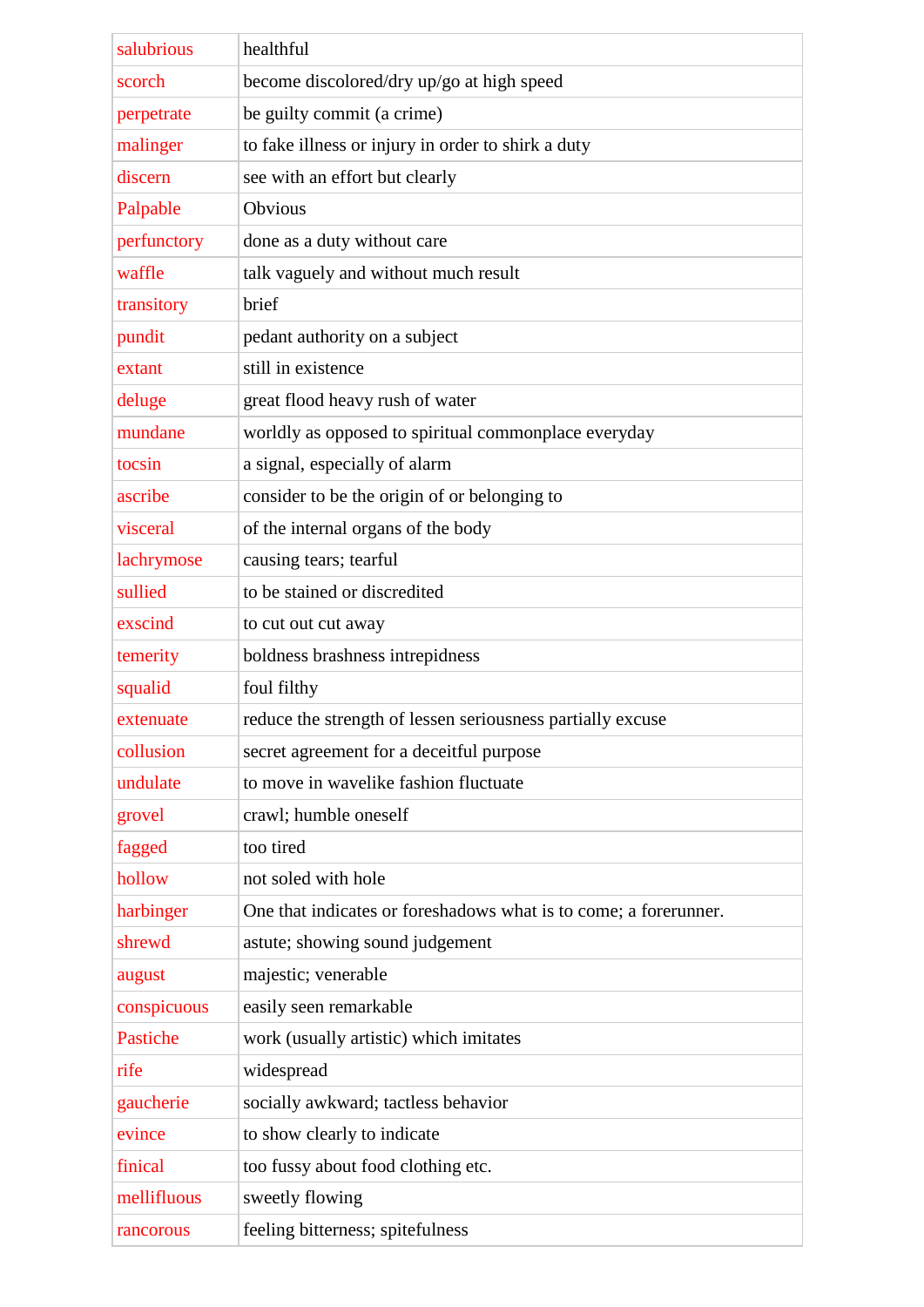| salubrious  | healthful                                                        |
|-------------|------------------------------------------------------------------|
| scorch      | become discolored/dry up/go at high speed                        |
| perpetrate  | be guilty commit (a crime)                                       |
| malinger    | to fake illness or injury in order to shirk a duty               |
| discern     | see with an effort but clearly                                   |
| Palpable    | Obvious                                                          |
| perfunctory | done as a duty without care                                      |
| waffle      | talk vaguely and without much result                             |
| transitory  | brief                                                            |
| pundit      | pedant authority on a subject                                    |
| extant      | still in existence                                               |
| deluge      | great flood heavy rush of water                                  |
| mundane     | worldly as opposed to spiritual commonplace everyday             |
| tocsin      | a signal, especially of alarm                                    |
| ascribe     | consider to be the origin of or belonging to                     |
| visceral    | of the internal organs of the body                               |
| lachrymose  | causing tears; tearful                                           |
| sullied     | to be stained or discredited                                     |
| exscind     | to cut out cut away                                              |
| temerity    | boldness brashness intrepidness                                  |
| squalid     | foul filthy                                                      |
| extenuate   | reduce the strength of lessen seriousness partially excuse       |
| collusion   | secret agreement for a deceitful purpose                         |
| undulate    | to move in wavelike fashion fluctuate                            |
| grovel      | crawl; humble oneself                                            |
| fagged      | too tired                                                        |
| hollow      | not soled with hole                                              |
| harbinger   | One that indicates or foreshadows what is to come; a forerunner. |
| shrewd      | astute; showing sound judgement                                  |
| august      | majestic; venerable                                              |
| conspicuous | easily seen remarkable                                           |
| Pastiche    | work (usually artistic) which imitates                           |
| rife        | widespread                                                       |
| gaucherie   | socially awkward; tactless behavior                              |
| evince      | to show clearly to indicate                                      |
| finical     | too fussy about food clothing etc.                               |
| mellifluous | sweetly flowing                                                  |
| rancorous   | feeling bitterness; spitefulness                                 |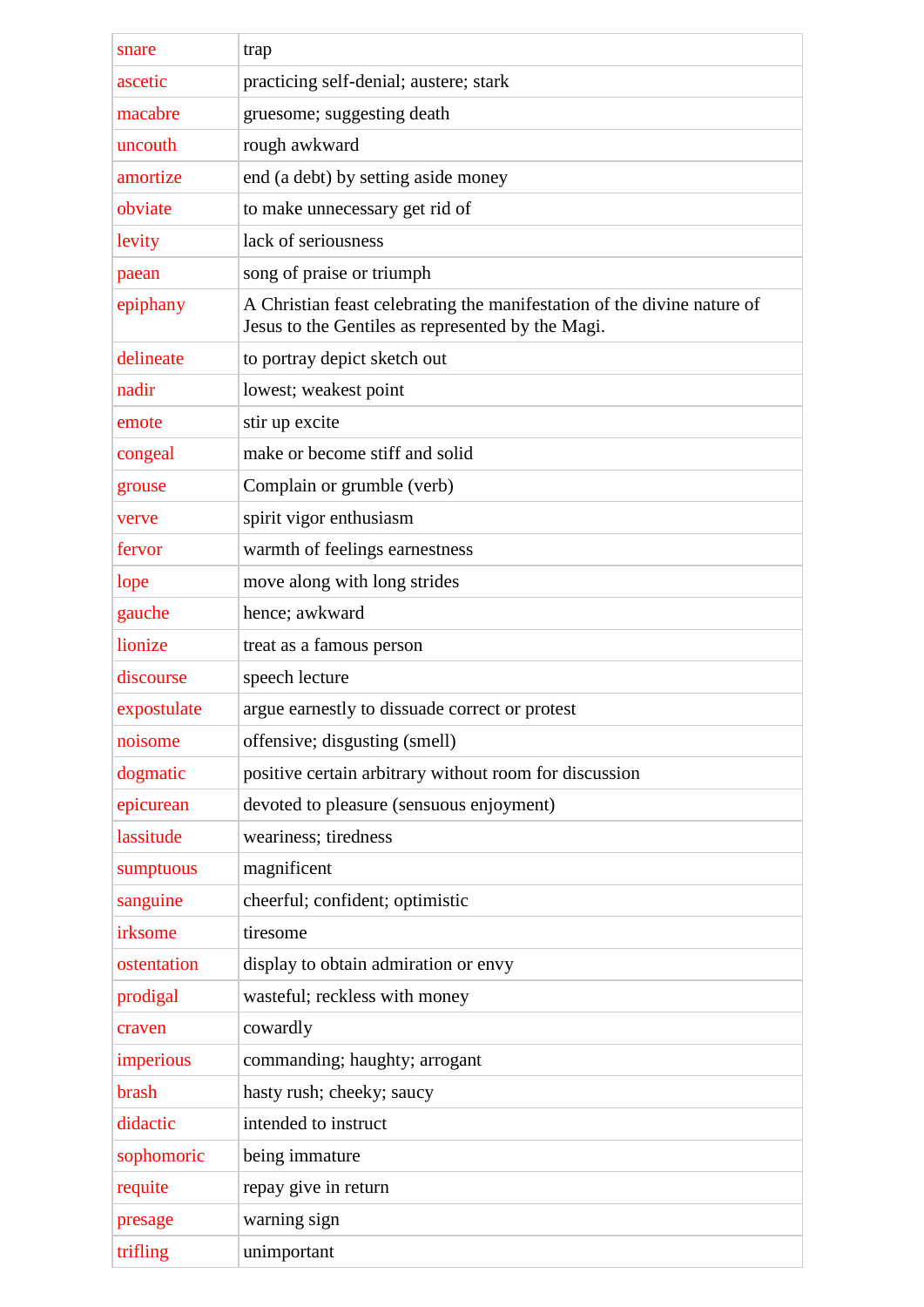| trap<br>snare                                                                                                                            |  |
|------------------------------------------------------------------------------------------------------------------------------------------|--|
| practicing self-denial; austere; stark<br>ascetic                                                                                        |  |
| gruesome; suggesting death<br>macabre                                                                                                    |  |
| rough awkward<br>uncouth                                                                                                                 |  |
| end (a debt) by setting aside money<br>amortize                                                                                          |  |
| to make unnecessary get rid of<br>obviate                                                                                                |  |
| lack of seriousness<br>levity                                                                                                            |  |
| song of praise or triumph<br>paean                                                                                                       |  |
| A Christian feast celebrating the manifestation of the divine nature of<br>epiphany<br>Jesus to the Gentiles as represented by the Magi. |  |
| to portray depict sketch out<br>delineate                                                                                                |  |
| nadir<br>lowest; weakest point                                                                                                           |  |
| stir up excite<br>emote                                                                                                                  |  |
| make or become stiff and solid<br>congeal                                                                                                |  |
| Complain or grumble (verb)<br>grouse                                                                                                     |  |
| spirit vigor enthusiasm<br>verve                                                                                                         |  |
| warmth of feelings earnestness<br>fervor                                                                                                 |  |
| move along with long strides<br>lope                                                                                                     |  |
| hence; awkward<br>gauche                                                                                                                 |  |
| lionize<br>treat as a famous person                                                                                                      |  |
| discourse<br>speech lecture                                                                                                              |  |
| argue earnestly to dissuade correct or protest<br>expostulate                                                                            |  |
| offensive; disgusting (smell)<br>noisome                                                                                                 |  |
| dogmatic<br>positive certain arbitrary without room for discussion                                                                       |  |
| devoted to pleasure (sensuous enjoyment)<br>epicurean                                                                                    |  |
| lassitude<br>weariness; tiredness                                                                                                        |  |
| magnificent<br>sumptuous                                                                                                                 |  |
| cheerful; confident; optimistic<br>sanguine                                                                                              |  |
| irksome<br>tiresome                                                                                                                      |  |
| ostentation<br>display to obtain admiration or envy                                                                                      |  |
| wasteful; reckless with money<br>prodigal                                                                                                |  |
| cowardly<br>craven                                                                                                                       |  |
| commanding; haughty; arrogant<br>imperious                                                                                               |  |
| brash<br>hasty rush; cheeky; saucy                                                                                                       |  |
| intended to instruct<br>didactic                                                                                                         |  |
| sophomoric<br>being immature                                                                                                             |  |
| repay give in return<br>requite                                                                                                          |  |
| warning sign<br>presage                                                                                                                  |  |
|                                                                                                                                          |  |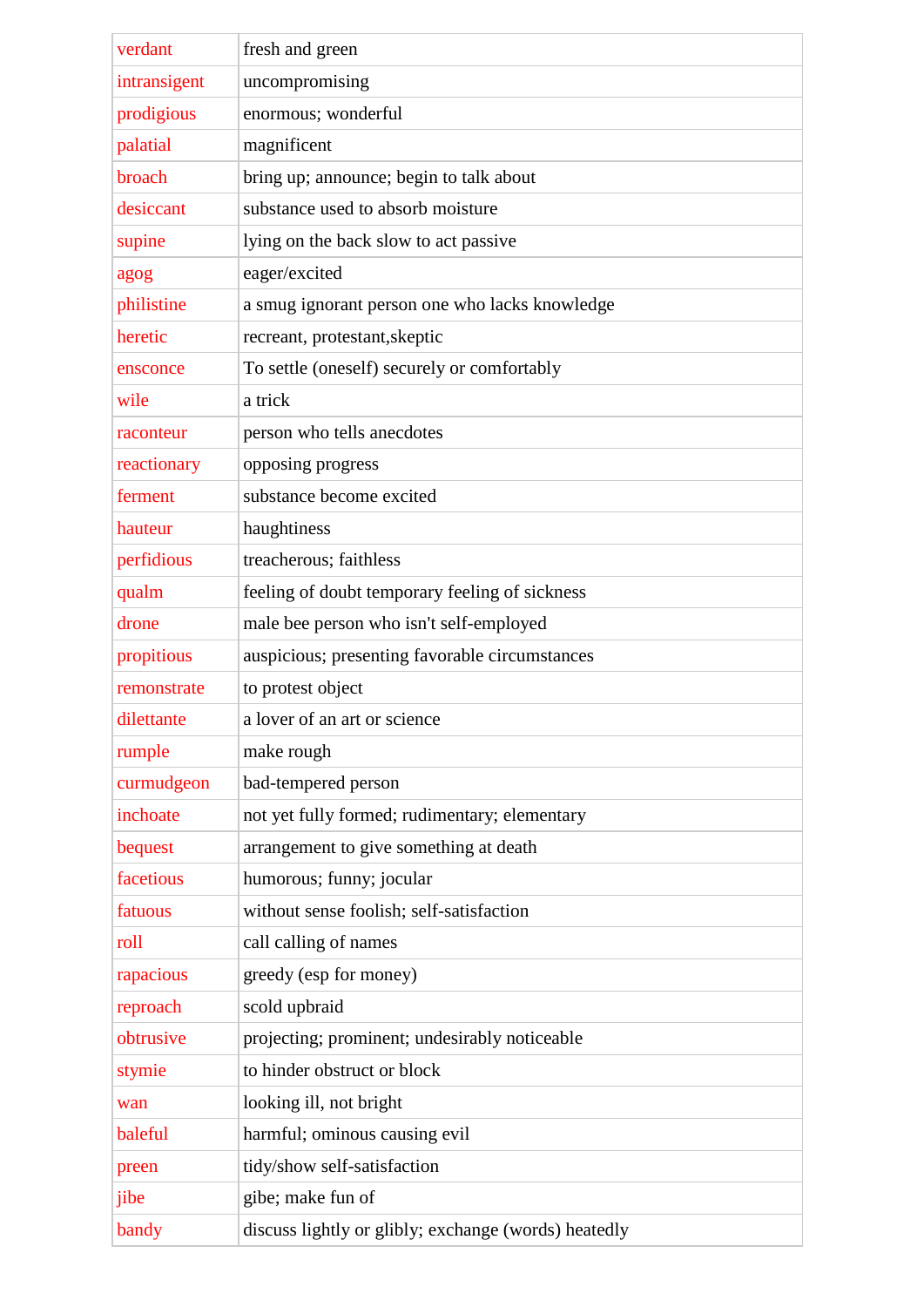| verdant        | fresh and green                                      |
|----------------|------------------------------------------------------|
| intransigent   | uncompromising                                       |
| prodigious     | enormous; wonderful                                  |
| palatial       | magnificent                                          |
| broach         | bring up; announce; begin to talk about              |
| desiccant      | substance used to absorb moisture                    |
| supine         | lying on the back slow to act passive                |
| agog           | eager/excited                                        |
| philistine     | a smug ignorant person one who lacks knowledge       |
| heretic        | recreant, protestant, skeptic                        |
| ensconce       | To settle (oneself) securely or comfortably          |
| wile           | a trick                                              |
| raconteur      | person who tells anecdotes                           |
| reactionary    | opposing progress                                    |
| ferment        | substance become excited                             |
| hauteur        | haughtiness                                          |
|                | treacherous; faithless                               |
| perfidious     |                                                      |
| qualm<br>drone | feeling of doubt temporary feeling of sickness       |
|                | male bee person who isn't self-employed              |
| propitious     | auspicious; presenting favorable circumstances       |
| remonstrate    | to protest object                                    |
| dilettante     | a lover of an art or science                         |
| rumple         | make rough                                           |
| curmudgeon     | bad-tempered person                                  |
| inchoate       | not yet fully formed; rudimentary; elementary        |
| bequest        | arrangement to give something at death               |
| facetious      | humorous; funny; jocular                             |
| fatuous        | without sense foolish; self-satisfaction             |
| roll           | call calling of names                                |
| rapacious      | greedy (esp for money)                               |
| reproach       | scold upbraid                                        |
| obtrusive      | projecting; prominent; undesirably noticeable        |
| stymie         | to hinder obstruct or block                          |
| wan            | looking ill, not bright                              |
| baleful        | harmful; ominous causing evil                        |
| preen          | tidy/show self-satisfaction                          |
| jibe           | gibe; make fun of                                    |
| bandy          | discuss lightly or glibly; exchange (words) heatedly |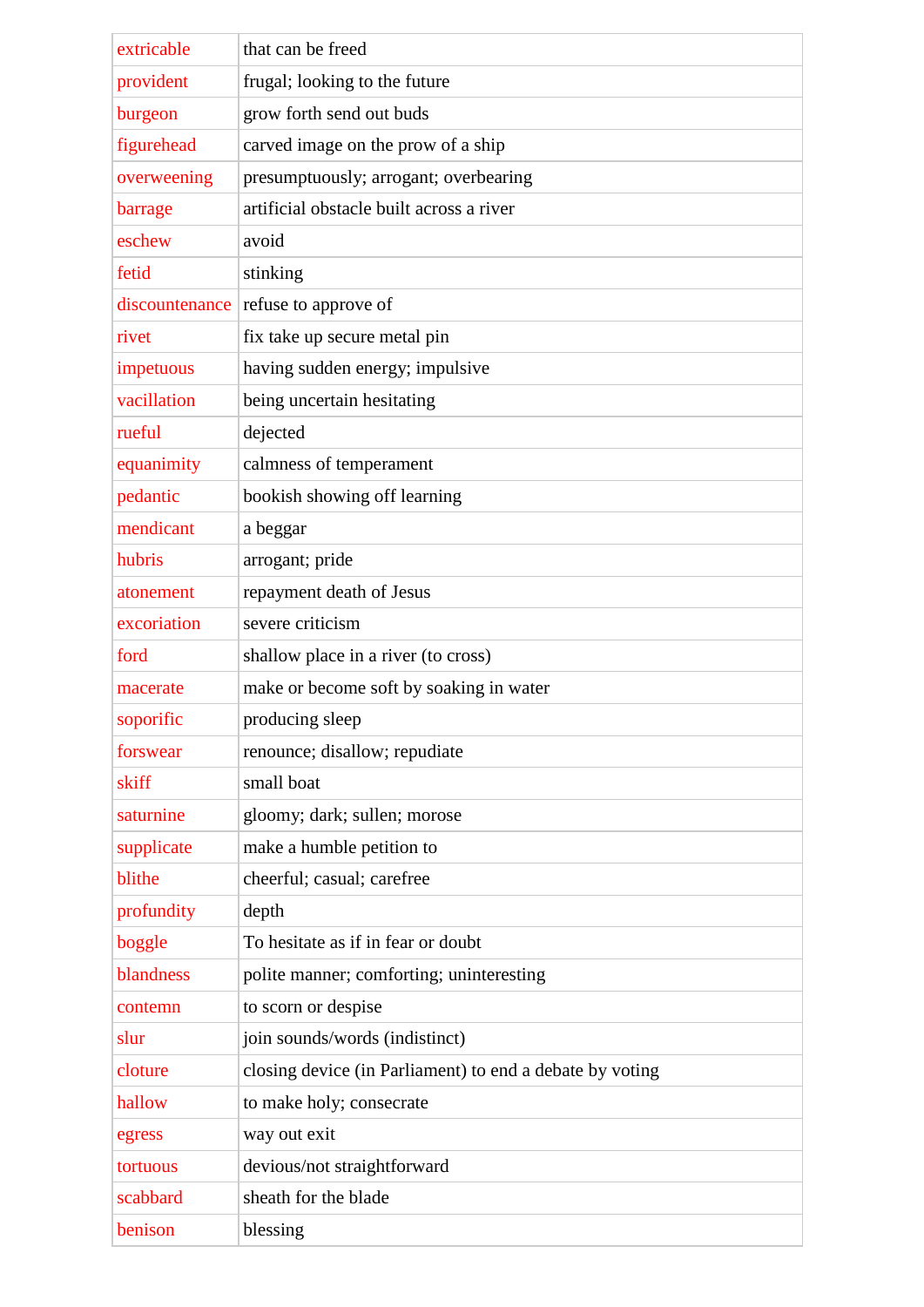| extricable     | that can be freed                                        |
|----------------|----------------------------------------------------------|
| provident      | frugal; looking to the future                            |
| burgeon        | grow forth send out buds                                 |
| figurehead     | carved image on the prow of a ship                       |
| overweening    | presumptuously; arrogant; overbearing                    |
| barrage        | artificial obstacle built across a river                 |
| eschew         | avoid                                                    |
| fetid          | stinking                                                 |
| discountenance | refuse to approve of                                     |
| rivet          | fix take up secure metal pin                             |
| impetuous      | having sudden energy; impulsive                          |
| vacillation    | being uncertain hesitating                               |
| rueful         | dejected                                                 |
| equanimity     | calmness of temperament                                  |
| pedantic       | bookish showing off learning                             |
| mendicant      | a beggar                                                 |
| hubris         | arrogant; pride                                          |
| atonement      | repayment death of Jesus                                 |
| excoriation    | severe criticism                                         |
| ford           | shallow place in a river (to cross)                      |
| macerate       | make or become soft by soaking in water                  |
| soporific      | producing sleep                                          |
| forswear       | renounce; disallow; repudiate                            |
| skiff          | small boat                                               |
| saturnine      | gloomy; dark; sullen; morose                             |
| supplicate     | make a humble petition to                                |
| blithe         | cheerful; casual; carefree                               |
| profundity     | depth                                                    |
| boggle         | To hesitate as if in fear or doubt                       |
| blandness      | polite manner; comforting; uninteresting                 |
| contemn        | to scorn or despise                                      |
| slur           | join sounds/words (indistinct)                           |
| cloture        | closing device (in Parliament) to end a debate by voting |
| hallow         | to make holy; consecrate                                 |
| egress         | way out exit                                             |
| tortuous       | devious/not straightforward                              |
| scabbard       | sheath for the blade                                     |
| benison        | blessing                                                 |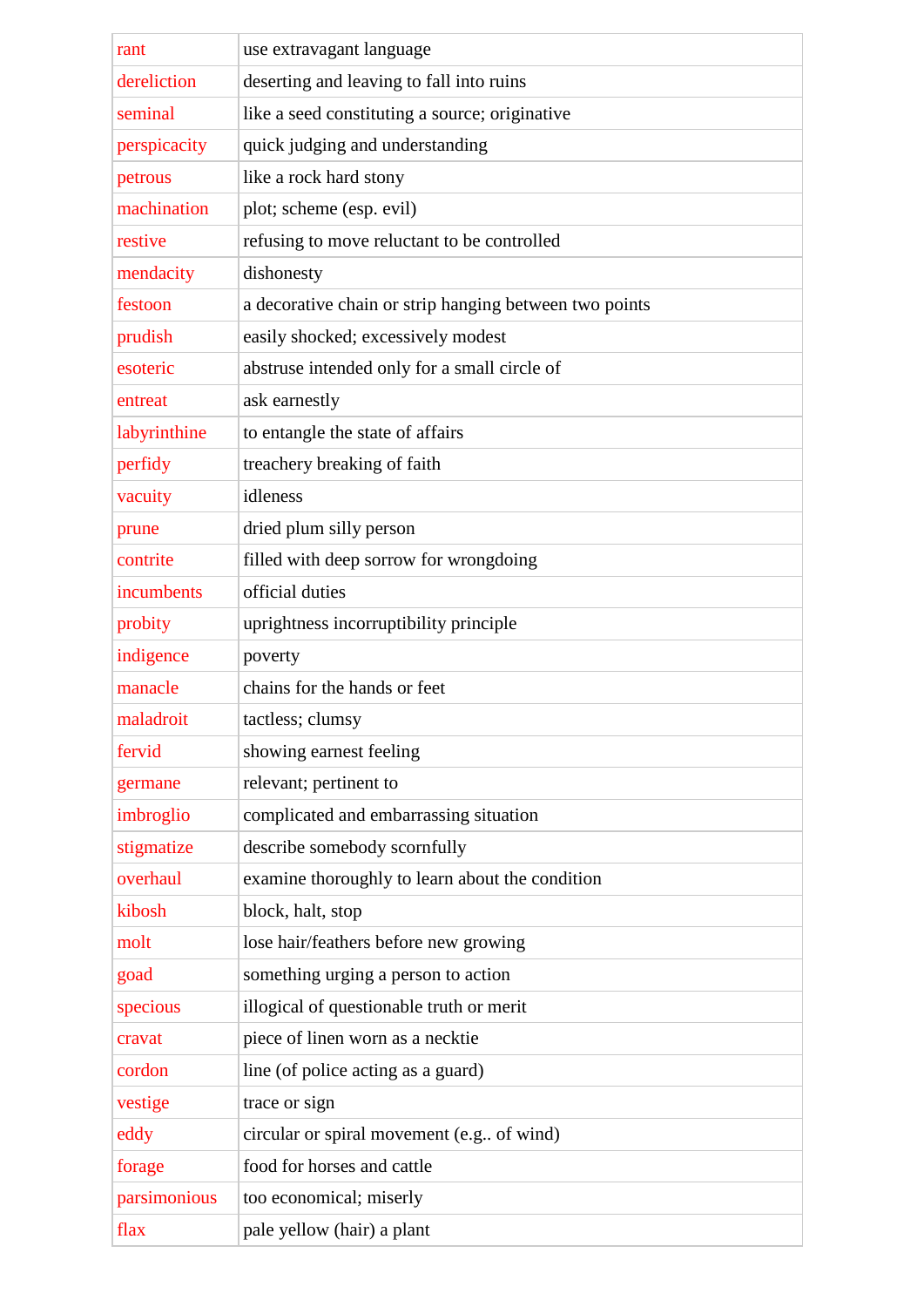| rant         | use extravagant language                               |
|--------------|--------------------------------------------------------|
| dereliction  | deserting and leaving to fall into ruins               |
| seminal      | like a seed constituting a source; originative         |
| perspicacity | quick judging and understanding                        |
| petrous      | like a rock hard stony                                 |
| machination  | plot; scheme (esp. evil)                               |
| restive      | refusing to move reluctant to be controlled            |
| mendacity    | dishonesty                                             |
| festoon      | a decorative chain or strip hanging between two points |
| prudish      | easily shocked; excessively modest                     |
| esoteric     | abstruse intended only for a small circle of           |
| entreat      | ask earnestly                                          |
| labyrinthine | to entangle the state of affairs                       |
| perfidy      | treachery breaking of faith                            |
| vacuity      | idleness                                               |
| prune        | dried plum silly person                                |
| contrite     | filled with deep sorrow for wrongdoing                 |
| incumbents   | official duties                                        |
| probity      | uprightness incorruptibility principle                 |
| indigence    | poverty                                                |
| manacle      | chains for the hands or feet                           |
| maladroit    | tactless; clumsy                                       |
| fervid       | showing earnest feeling                                |
| germane      | relevant; pertinent to                                 |
| imbroglio    | complicated and embarrassing situation                 |
| stigmatize   | describe somebody scornfully                           |
| overhaul     | examine thoroughly to learn about the condition        |
| kibosh       | block, halt, stop                                      |
| molt         | lose hair/feathers before new growing                  |
| goad         | something urging a person to action                    |
| specious     | illogical of questionable truth or merit               |
| cravat       | piece of linen worn as a necktie                       |
| cordon       | line (of police acting as a guard)                     |
| vestige      | trace or sign                                          |
| eddy         | circular or spiral movement (e.g of wind)              |
| forage       | food for horses and cattle                             |
| parsimonious | too economical; miserly                                |
| flax         | pale yellow (hair) a plant                             |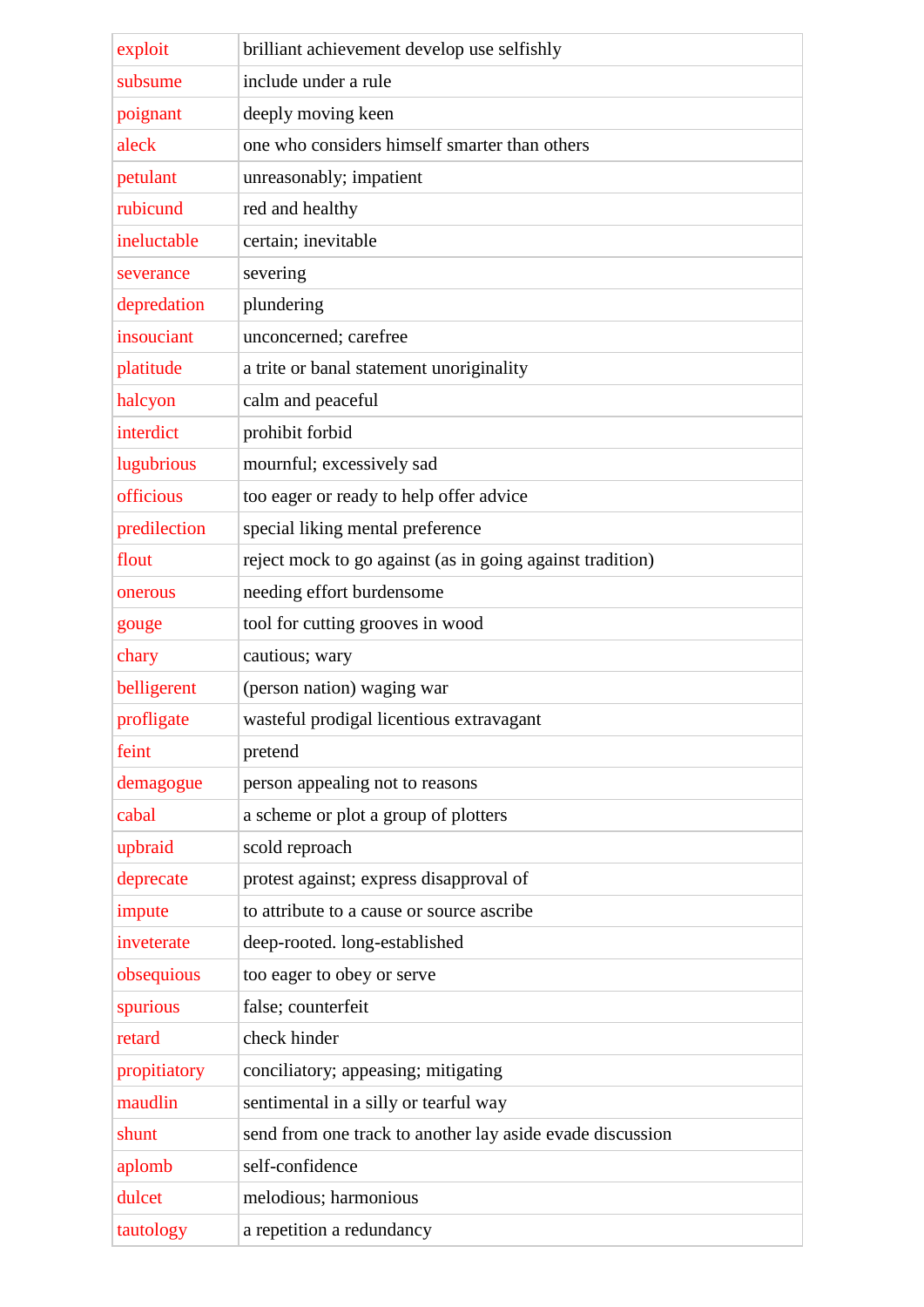| exploit      | brilliant achievement develop use selfishly               |
|--------------|-----------------------------------------------------------|
| subsume      | include under a rule                                      |
| poignant     | deeply moving keen                                        |
| aleck        | one who considers himself smarter than others             |
| petulant     | unreasonably; impatient                                   |
| rubicund     | red and healthy                                           |
| ineluctable  | certain; inevitable                                       |
| severance    | severing                                                  |
| depredation  | plundering                                                |
| insouciant   | unconcerned; carefree                                     |
| platitude    | a trite or banal statement unoriginality                  |
| halcyon      | calm and peaceful                                         |
| interdict    | prohibit forbid                                           |
| lugubrious   | mournful; excessively sad                                 |
| officious    | too eager or ready to help offer advice                   |
| predilection | special liking mental preference                          |
| flout        | reject mock to go against (as in going against tradition) |
| onerous      | needing effort burdensome                                 |
| gouge        | tool for cutting grooves in wood                          |
| chary        | cautious; wary                                            |
| belligerent  | (person nation) waging war                                |
| profligate   | wasteful prodigal licentious extravagant                  |
| feint        | pretend                                                   |
| demagogue    | person appealing not to reasons                           |
| cabal        | a scheme or plot a group of plotters                      |
| upbraid      | scold reproach                                            |
| deprecate    | protest against; express disapproval of                   |
| impute       | to attribute to a cause or source ascribe                 |
| inveterate   | deep-rooted. long-established                             |
| obsequious   | too eager to obey or serve                                |
| spurious     | false; counterfeit                                        |
| retard       | check hinder                                              |
| propitiatory | conciliatory; appeasing; mitigating                       |
| maudlin      | sentimental in a silly or tearful way                     |
| shunt        | send from one track to another lay aside evade discussion |
| aplomb       | self-confidence                                           |
| dulcet       | melodious; harmonious                                     |
| tautology    | a repetition a redundancy                                 |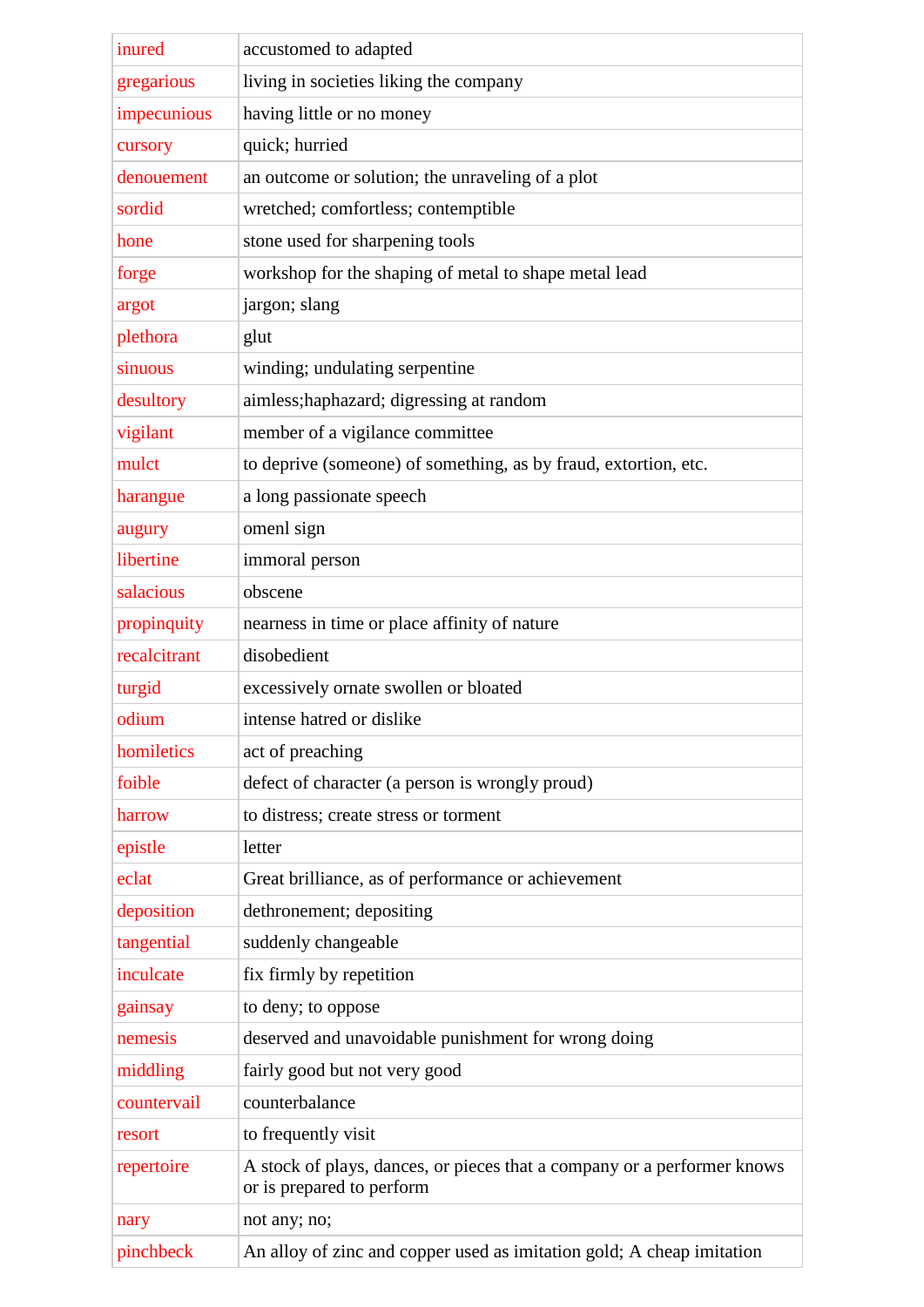| inured       | accustomed to adapted                                                                                |
|--------------|------------------------------------------------------------------------------------------------------|
| gregarious   | living in societies liking the company                                                               |
| impecunious  | having little or no money                                                                            |
| cursory      | quick; hurried                                                                                       |
| denouement   | an outcome or solution; the unraveling of a plot                                                     |
| sordid       | wretched; comfortless; contemptible                                                                  |
| hone         | stone used for sharpening tools                                                                      |
| forge        | workshop for the shaping of metal to shape metal lead                                                |
| argot        | jargon; slang                                                                                        |
| plethora     | glut                                                                                                 |
| sinuous      | winding; undulating serpentine                                                                       |
| desultory    | aimless; haphazard; digressing at random                                                             |
| vigilant     | member of a vigilance committee                                                                      |
| mulct        | to deprive (someone) of something, as by fraud, extortion, etc.                                      |
| harangue     | a long passionate speech                                                                             |
| augury       | omenl sign                                                                                           |
| libertine    | immoral person                                                                                       |
| salacious    | obscene                                                                                              |
| propinquity  | nearness in time or place affinity of nature                                                         |
| recalcitrant | disobedient                                                                                          |
| turgid       | excessively ornate swollen or bloated                                                                |
| odium        | intense hatred or dislike                                                                            |
| homiletics   | act of preaching                                                                                     |
| foible       | defect of character (a person is wrongly proud)                                                      |
| harrow       | to distress; create stress or torment                                                                |
| epistle      | letter                                                                                               |
| eclat        | Great brilliance, as of performance or achievement                                                   |
| deposition   | dethronement; depositing                                                                             |
| tangential   | suddenly changeable                                                                                  |
| inculcate    | fix firmly by repetition                                                                             |
| gainsay      | to deny; to oppose                                                                                   |
| nemesis      | deserved and unavoidable punishment for wrong doing                                                  |
| middling     | fairly good but not very good                                                                        |
| countervail  | counterbalance                                                                                       |
| resort       | to frequently visit                                                                                  |
| repertoire   | A stock of plays, dances, or pieces that a company or a performer knows<br>or is prepared to perform |
| nary         | not any; no;                                                                                         |
| pinchbeck    | An alloy of zinc and copper used as imitation gold; A cheap imitation                                |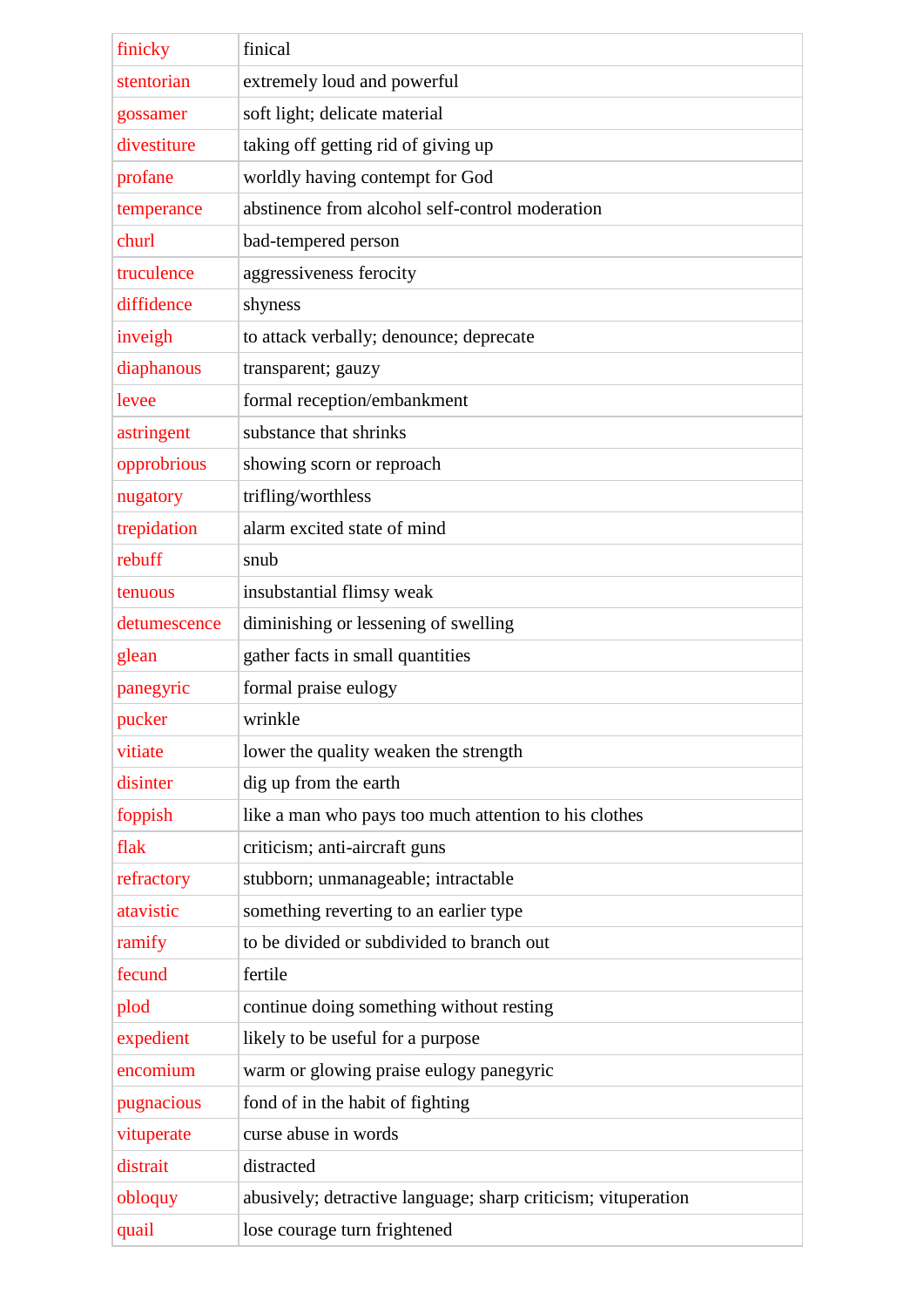| finicky      | finical                                                       |
|--------------|---------------------------------------------------------------|
| stentorian   | extremely loud and powerful                                   |
| gossamer     | soft light; delicate material                                 |
| divestiture  | taking off getting rid of giving up                           |
| profane      | worldly having contempt for God                               |
| temperance   | abstinence from alcohol self-control moderation               |
| churl        | bad-tempered person                                           |
| truculence   | aggressiveness ferocity                                       |
| diffidence   | shyness                                                       |
| inveigh      | to attack verbally; denounce; deprecate                       |
| diaphanous   | transparent; gauzy                                            |
| levee        | formal reception/embankment                                   |
| astringent   | substance that shrinks                                        |
| opprobrious  | showing scorn or reproach                                     |
| nugatory     | trifling/worthless                                            |
| trepidation  | alarm excited state of mind                                   |
| rebuff       | snub                                                          |
| tenuous      | insubstantial flimsy weak                                     |
| detumescence | diminishing or lessening of swelling                          |
| glean        | gather facts in small quantities                              |
| panegyric    | formal praise eulogy                                          |
| pucker       | wrinkle                                                       |
| vitiate      | lower the quality weaken the strength                         |
| disinter     | dig up from the earth                                         |
| foppish      | like a man who pays too much attention to his clothes         |
| flak         | criticism; anti-aircraft guns                                 |
| refractory   | stubborn; unmanageable; intractable                           |
| atavistic    | something reverting to an earlier type                        |
| ramify       | to be divided or subdivided to branch out                     |
| fecund       | fertile                                                       |
| plod         | continue doing something without resting                      |
| expedient    | likely to be useful for a purpose                             |
| encomium     | warm or glowing praise eulogy panegyric                       |
| pugnacious   | fond of in the habit of fighting                              |
| vituperate   | curse abuse in words                                          |
| distrait     | distracted                                                    |
| obloquy      | abusively; detractive language; sharp criticism; vituperation |
| quail        | lose courage turn frightened                                  |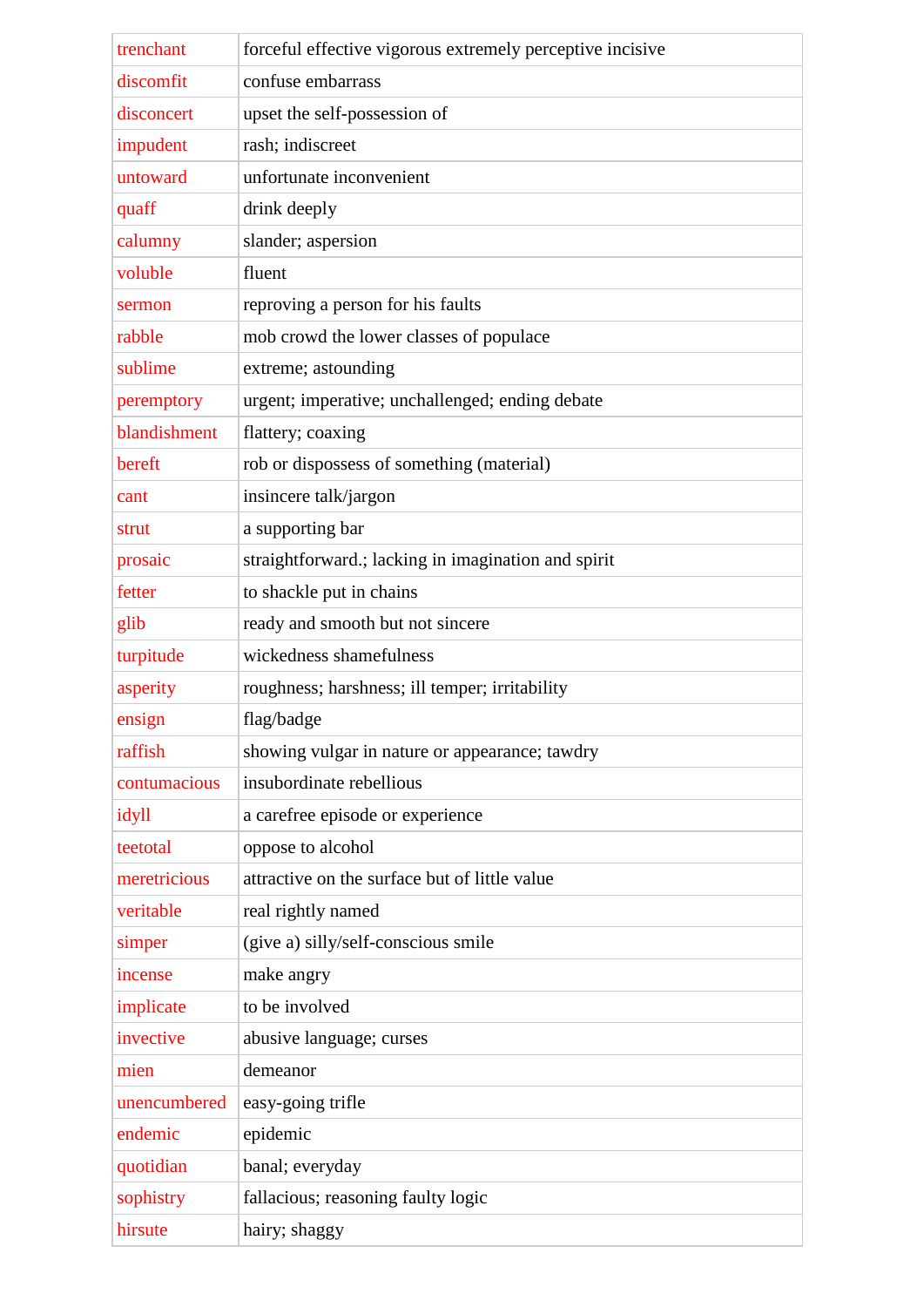| trenchant    | forceful effective vigorous extremely perceptive incisive |
|--------------|-----------------------------------------------------------|
| discomfit    | confuse embarrass                                         |
| disconcert   | upset the self-possession of                              |
| impudent     | rash; indiscreet                                          |
| untoward     | unfortunate inconvenient                                  |
| quaff        | drink deeply                                              |
| calumny      | slander; aspersion                                        |
| voluble      | fluent                                                    |
| sermon       | reproving a person for his faults                         |
| rabble       | mob crowd the lower classes of populace                   |
| sublime      | extreme; astounding                                       |
| peremptory   | urgent; imperative; unchallenged; ending debate           |
| blandishment | flattery; coaxing                                         |
| bereft       | rob or dispossess of something (material)                 |
| cant         | insincere talk/jargon                                     |
| strut        | a supporting bar                                          |
| prosaic      | straightforward.; lacking in imagination and spirit       |
| fetter       | to shackle put in chains                                  |
| glib         | ready and smooth but not sincere                          |
| turpitude    | wickedness shamefulness                                   |
| asperity     | roughness; harshness; ill temper; irritability            |
| ensign       | flag/badge                                                |
| raffish      | showing vulgar in nature or appearance; tawdry            |
| contumacious | insubordinate rebellious                                  |
| idyll        | a carefree episode or experience                          |
| teetotal     | oppose to alcohol                                         |
| meretricious | attractive on the surface but of little value             |
| veritable    | real rightly named                                        |
| simper       | (give a) silly/self-conscious smile                       |
| incense      | make angry                                                |
| implicate    | to be involved                                            |
| invective    | abusive language; curses                                  |
| mien         | demeanor                                                  |
| unencumbered | easy-going trifle                                         |
| endemic      | epidemic                                                  |
| quotidian    | banal; everyday                                           |
| sophistry    | fallacious; reasoning faulty logic                        |
| hirsute      | hairy; shaggy                                             |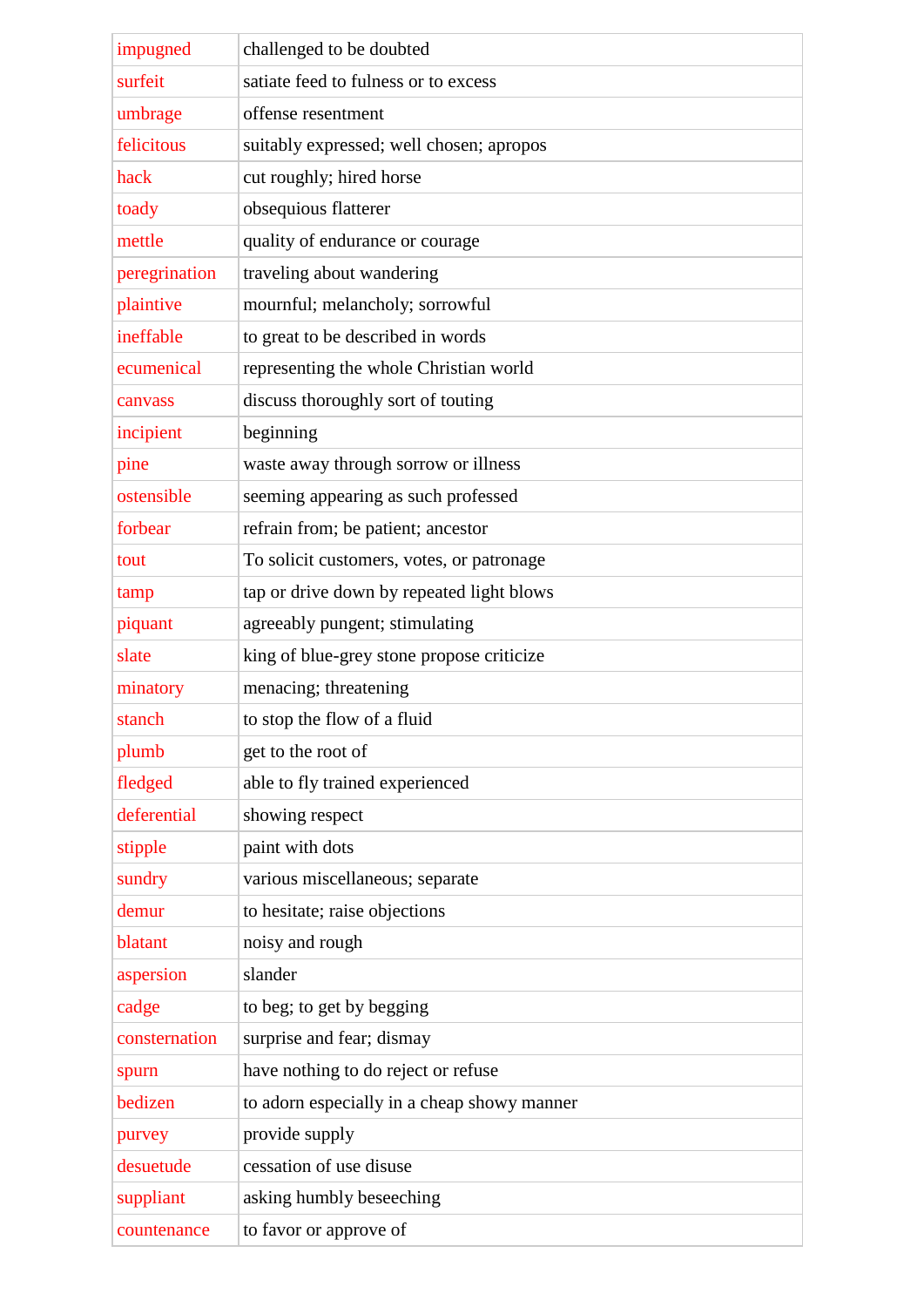| impugned      | challenged to be doubted                    |
|---------------|---------------------------------------------|
| surfeit       | satiate feed to fulness or to excess        |
| umbrage       | offense resentment                          |
| felicitous    | suitably expressed; well chosen; apropos    |
| hack          | cut roughly; hired horse                    |
| toady         | obsequious flatterer                        |
| mettle        | quality of endurance or courage             |
| peregrination | traveling about wandering                   |
| plaintive     | mournful; melancholy; sorrowful             |
| ineffable     | to great to be described in words           |
| ecumenical    | representing the whole Christian world      |
| canvass       | discuss thoroughly sort of touting          |
| incipient     | beginning                                   |
| pine          | waste away through sorrow or illness        |
| ostensible    | seeming appearing as such professed         |
| forbear       | refrain from; be patient; ancestor          |
| tout          | To solicit customers, votes, or patronage   |
| tamp          | tap or drive down by repeated light blows   |
| piquant       | agreeably pungent; stimulating              |
| slate         | king of blue-grey stone propose criticize   |
| minatory      | menacing; threatening                       |
| stanch        | to stop the flow of a fluid                 |
| plumb         | get to the root of                          |
| fledged       | able to fly trained experienced             |
| deferential   | showing respect                             |
| stipple       | paint with dots                             |
| sundry        | various miscellaneous; separate             |
| demur         | to hesitate; raise objections               |
| blatant       | noisy and rough                             |
| aspersion     | slander                                     |
| cadge         | to beg; to get by begging                   |
| consternation | surprise and fear; dismay                   |
| spurn         | have nothing to do reject or refuse         |
| bedizen       | to adorn especially in a cheap showy manner |
| purvey        | provide supply                              |
| desuetude     | cessation of use disuse                     |
| suppliant     | asking humbly beseeching                    |
| countenance   | to favor or approve of                      |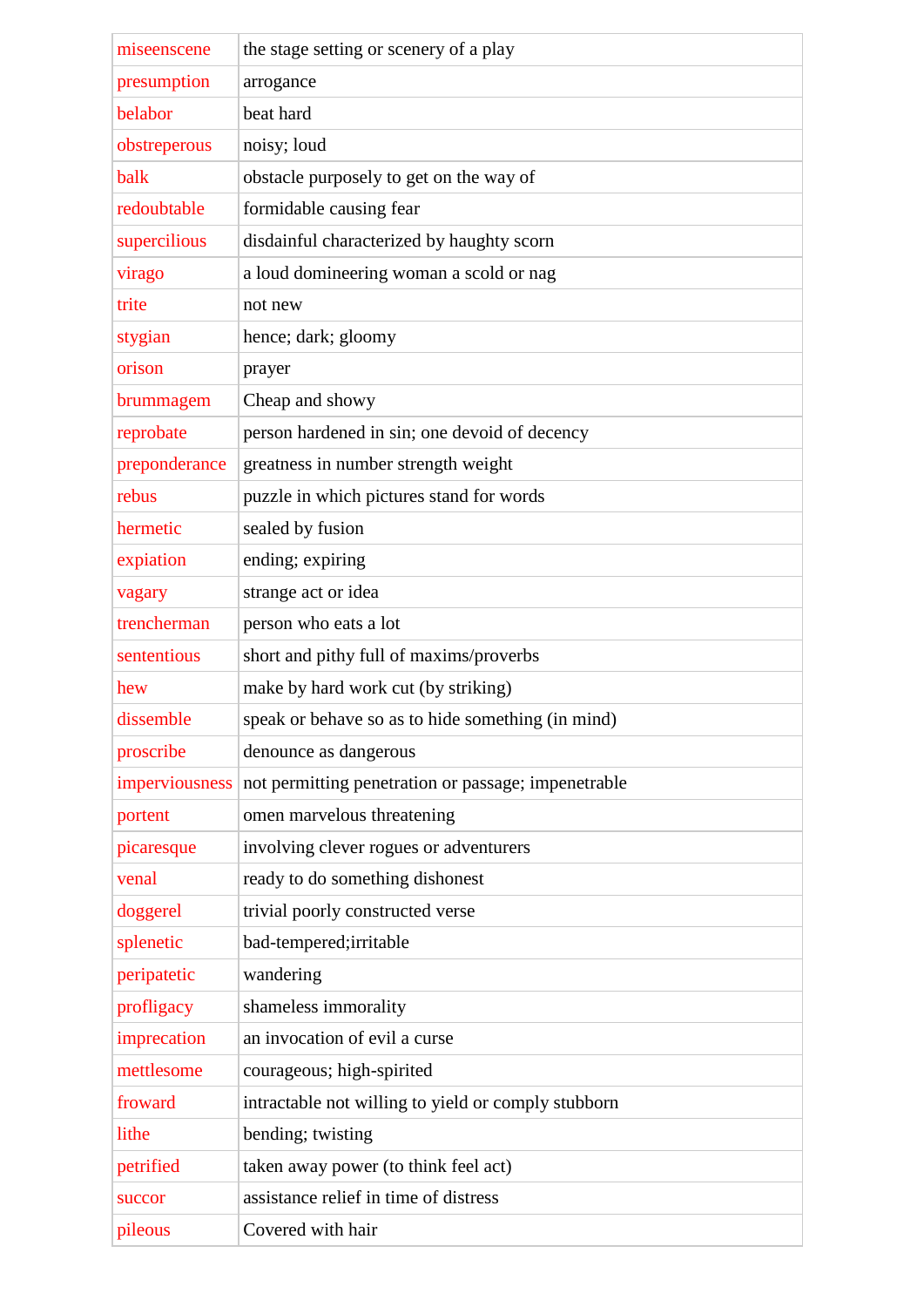| miseenscene    | the stage setting or scenery of a play              |
|----------------|-----------------------------------------------------|
| presumption    | arrogance                                           |
| belabor        | beat hard                                           |
| obstreperous   | noisy; loud                                         |
| balk           | obstacle purposely to get on the way of             |
| redoubtable    | formidable causing fear                             |
| supercilious   | disdainful characterized by haughty scorn           |
| virago         | a loud domineering woman a scold or nag             |
| trite          | not new                                             |
| stygian        | hence; dark; gloomy                                 |
| orison         | prayer                                              |
| brummagem      | Cheap and showy                                     |
| reprobate      | person hardened in sin; one devoid of decency       |
| preponderance  | greatness in number strength weight                 |
| rebus          | puzzle in which pictures stand for words            |
| hermetic       | sealed by fusion                                    |
| expiation      | ending; expiring                                    |
| vagary         | strange act or idea                                 |
| trencherman    | person who eats a lot                               |
| sententious    | short and pithy full of maxims/proverbs             |
| hew            | make by hard work cut (by striking)                 |
| dissemble      | speak or behave so as to hide something (in mind)   |
| proscribe      | denounce as dangerous                               |
| imperviousness | not permitting penetration or passage; impenetrable |
| portent        | omen marvelous threatening                          |
| picaresque     | involving clever rogues or adventurers              |
| venal          | ready to do something dishonest                     |
| doggerel       | trivial poorly constructed verse                    |
| splenetic      | bad-tempered; irritable                             |
| peripatetic    | wandering                                           |
| profligacy     | shameless immorality                                |
| imprecation    | an invocation of evil a curse                       |
| mettlesome     | courageous; high-spirited                           |
| froward        | intractable not willing to yield or comply stubborn |
| lithe          | bending; twisting                                   |
| petrified      | taken away power (to think feel act)                |
| succor         | assistance relief in time of distress               |
| pileous        | Covered with hair                                   |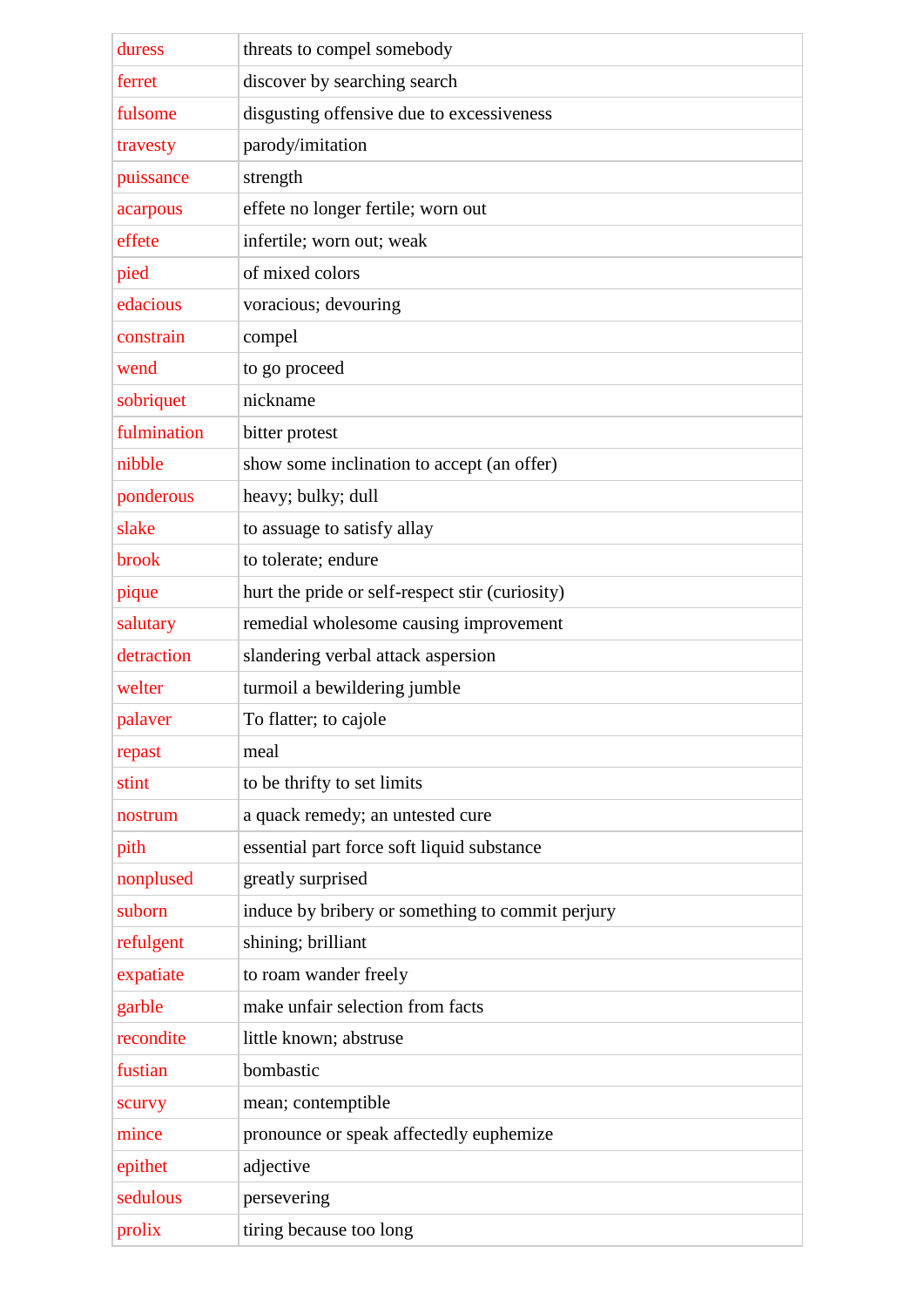| duress      | threats to compel somebody                       |
|-------------|--------------------------------------------------|
| ferret      | discover by searching search                     |
| fulsome     | disgusting offensive due to excessiveness        |
| travesty    | parody/imitation                                 |
| puissance   | strength                                         |
| acarpous    | effete no longer fertile; worn out               |
| effete      | infertile; worn out; weak                        |
| pied        | of mixed colors                                  |
| edacious    | voracious; devouring                             |
| constrain   | compel                                           |
| wend        | to go proceed                                    |
| sobriquet   | nickname                                         |
| fulmination | bitter protest                                   |
| nibble      | show some inclination to accept (an offer)       |
| ponderous   | heavy; bulky; dull                               |
| slake       | to assuage to satisfy allay                      |
| brook       | to tolerate; endure                              |
| pique       | hurt the pride or self-respect stir (curiosity)  |
| salutary    | remedial wholesome causing improvement           |
| detraction  | slandering verbal attack aspersion               |
| welter      | turmoil a bewildering jumble                     |
| palaver     | To flatter; to cajole                            |
| repast      | meal                                             |
| stint       | to be thrifty to set limits                      |
| nostrum     | a quack remedy; an untested cure                 |
| pith        | essential part force soft liquid substance       |
| nonplused   | greatly surprised                                |
| suborn      | induce by bribery or something to commit perjury |
| refulgent   | shining; brilliant                               |
| expatiate   | to roam wander freely                            |
| garble      | make unfair selection from facts                 |
| recondite   | little known; abstruse                           |
| fustian     | bombastic                                        |
| scurvy      | mean; contemptible                               |
| mince       | pronounce or speak affectedly euphemize          |
| epithet     | adjective                                        |
| sedulous    | persevering                                      |
| prolix      | tiring because too long                          |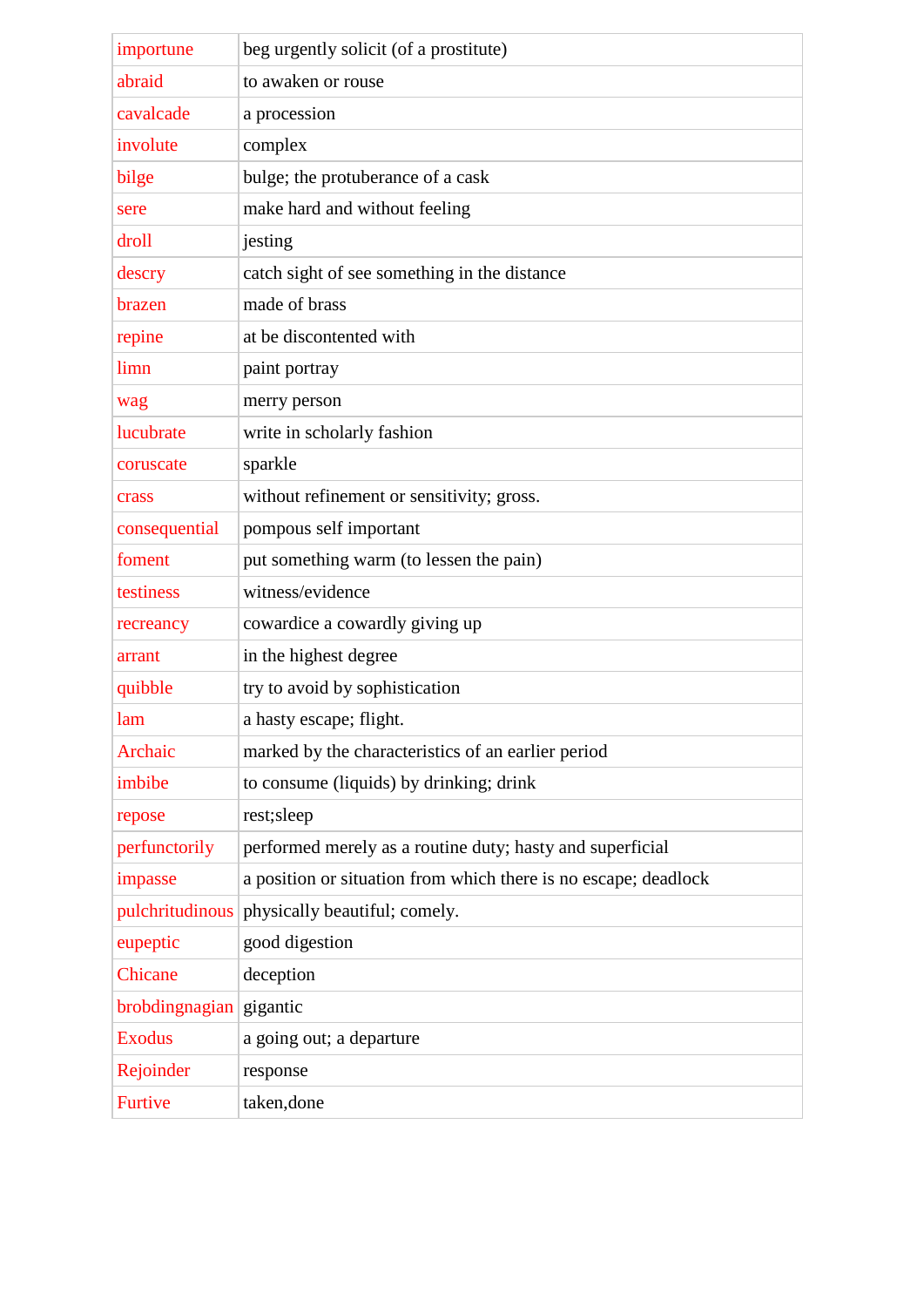| importune                 | beg urgently solicit (of a prostitute)                          |
|---------------------------|-----------------------------------------------------------------|
| abraid                    | to awaken or rouse                                              |
| cavalcade                 | a procession                                                    |
| involute                  | complex                                                         |
| bilge                     | bulge; the protuberance of a cask                               |
| sere                      | make hard and without feeling                                   |
| droll                     | jesting                                                         |
| descry                    | catch sight of see something in the distance                    |
| brazen                    | made of brass                                                   |
| repine                    | at be discontented with                                         |
| limn                      | paint portray                                                   |
| wag                       | merry person                                                    |
| lucubrate                 | write in scholarly fashion                                      |
| coruscate                 | sparkle                                                         |
| crass                     | without refinement or sensitivity; gross.                       |
| consequential             | pompous self important                                          |
| foment                    | put something warm (to lessen the pain)                         |
| testiness                 | witness/evidence                                                |
| recreancy                 | cowardice a cowardly giving up                                  |
| arrant                    | in the highest degree                                           |
| quibble                   | try to avoid by sophistication                                  |
| lam                       | a hasty escape; flight.                                         |
| Archaic                   | marked by the characteristics of an earlier period              |
| imbibe                    | to consume (liquids) by drinking; drink                         |
| repose                    | rest;sleep                                                      |
| perfunctorily             | performed merely as a routine duty; hasty and superficial       |
| impasse                   | a position or situation from which there is no escape; deadlock |
| pulchritudinous           | physically beautiful; comely.                                   |
| eupeptic                  | good digestion                                                  |
| Chicane                   | deception                                                       |
| $brobdingnagian$ gigantic |                                                                 |
| <b>Exodus</b>             | a going out; a departure                                        |
| Rejoinder                 | response                                                        |
| <b>Furtive</b>            | taken, done                                                     |